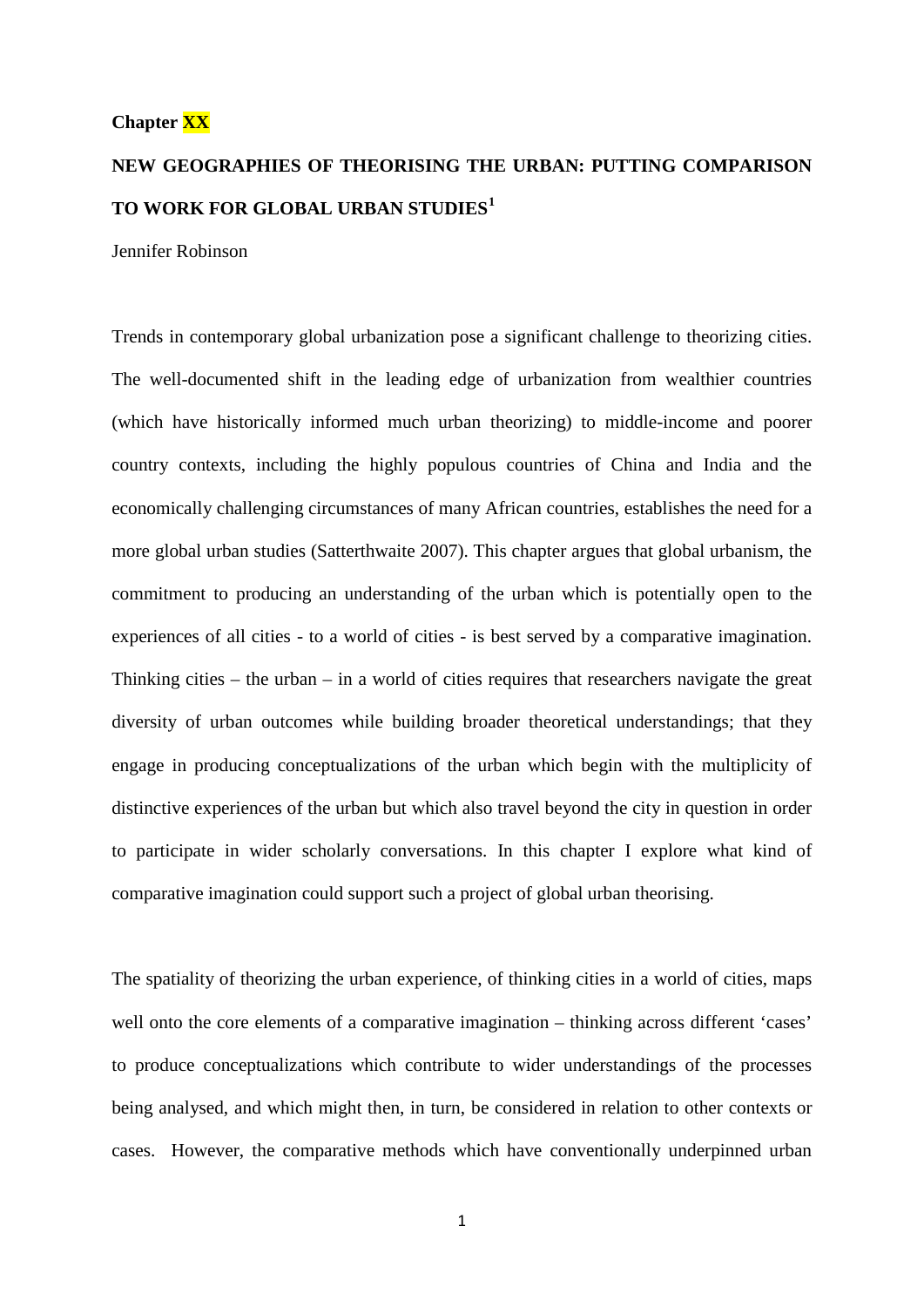## **Chapter XX**

# **NEW GEOGRAPHIES OF THEORISING THE URBAN: PUTTING COMPARISON TO WORK FOR GLOBAL URBAN STUDIES[1](#page-32-0)**

Jennifer Robinson

Trends in contemporary global urbanization pose a significant challenge to theorizing cities. The well-documented shift in the leading edge of urbanization from wealthier countries (which have historically informed much urban theorizing) to middle-income and poorer country contexts, including the highly populous countries of China and India and the economically challenging circumstances of many African countries, establishes the need for a more global urban studies (Satterthwaite 2007). This chapter argues that global urbanism, the commitment to producing an understanding of the urban which is potentially open to the experiences of all cities - to a world of cities - is best served by a comparative imagination. Thinking cities – the urban – in a world of cities requires that researchers navigate the great diversity of urban outcomes while building broader theoretical understandings; that they engage in producing conceptualizations of the urban which begin with the multiplicity of distinctive experiences of the urban but which also travel beyond the city in question in order to participate in wider scholarly conversations. In this chapter I explore what kind of comparative imagination could support such a project of global urban theorising.

The spatiality of theorizing the urban experience, of thinking cities in a world of cities, maps well onto the core elements of a comparative imagination – thinking across different 'cases' to produce conceptualizations which contribute to wider understandings of the processes being analysed, and which might then, in turn, be considered in relation to other contexts or cases. However, the comparative methods which have conventionally underpinned urban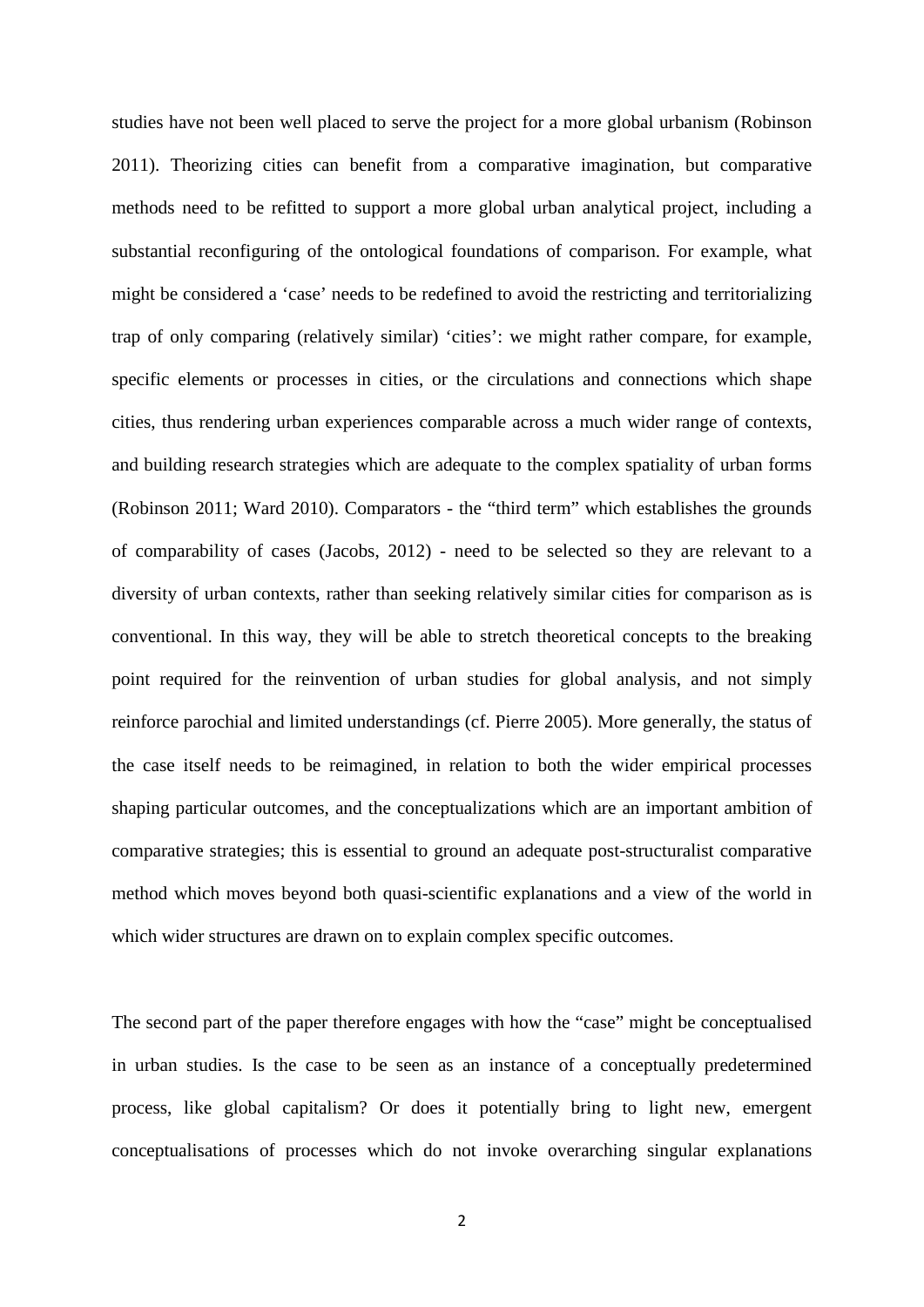studies have not been well placed to serve the project for a more global urbanism (Robinson 2011). Theorizing cities can benefit from a comparative imagination, but comparative methods need to be refitted to support a more global urban analytical project, including a substantial reconfiguring of the ontological foundations of comparison. For example, what might be considered a 'case' needs to be redefined to avoid the restricting and territorializing trap of only comparing (relatively similar) 'cities': we might rather compare, for example, specific elements or processes in cities, or the circulations and connections which shape cities, thus rendering urban experiences comparable across a much wider range of contexts, and building research strategies which are adequate to the complex spatiality of urban forms (Robinson 2011; Ward 2010). Comparators - the "third term" which establishes the grounds of comparability of cases (Jacobs, 2012) - need to be selected so they are relevant to a diversity of urban contexts, rather than seeking relatively similar cities for comparison as is conventional. In this way, they will be able to stretch theoretical concepts to the breaking point required for the reinvention of urban studies for global analysis, and not simply reinforce parochial and limited understandings (cf. Pierre 2005). More generally, the status of the case itself needs to be reimagined, in relation to both the wider empirical processes shaping particular outcomes, and the conceptualizations which are an important ambition of comparative strategies; this is essential to ground an adequate post-structuralist comparative method which moves beyond both quasi-scientific explanations and a view of the world in which wider structures are drawn on to explain complex specific outcomes.

The second part of the paper therefore engages with how the "case" might be conceptualised in urban studies. Is the case to be seen as an instance of a conceptually predetermined process, like global capitalism? Or does it potentially bring to light new, emergent conceptualisations of processes which do not invoke overarching singular explanations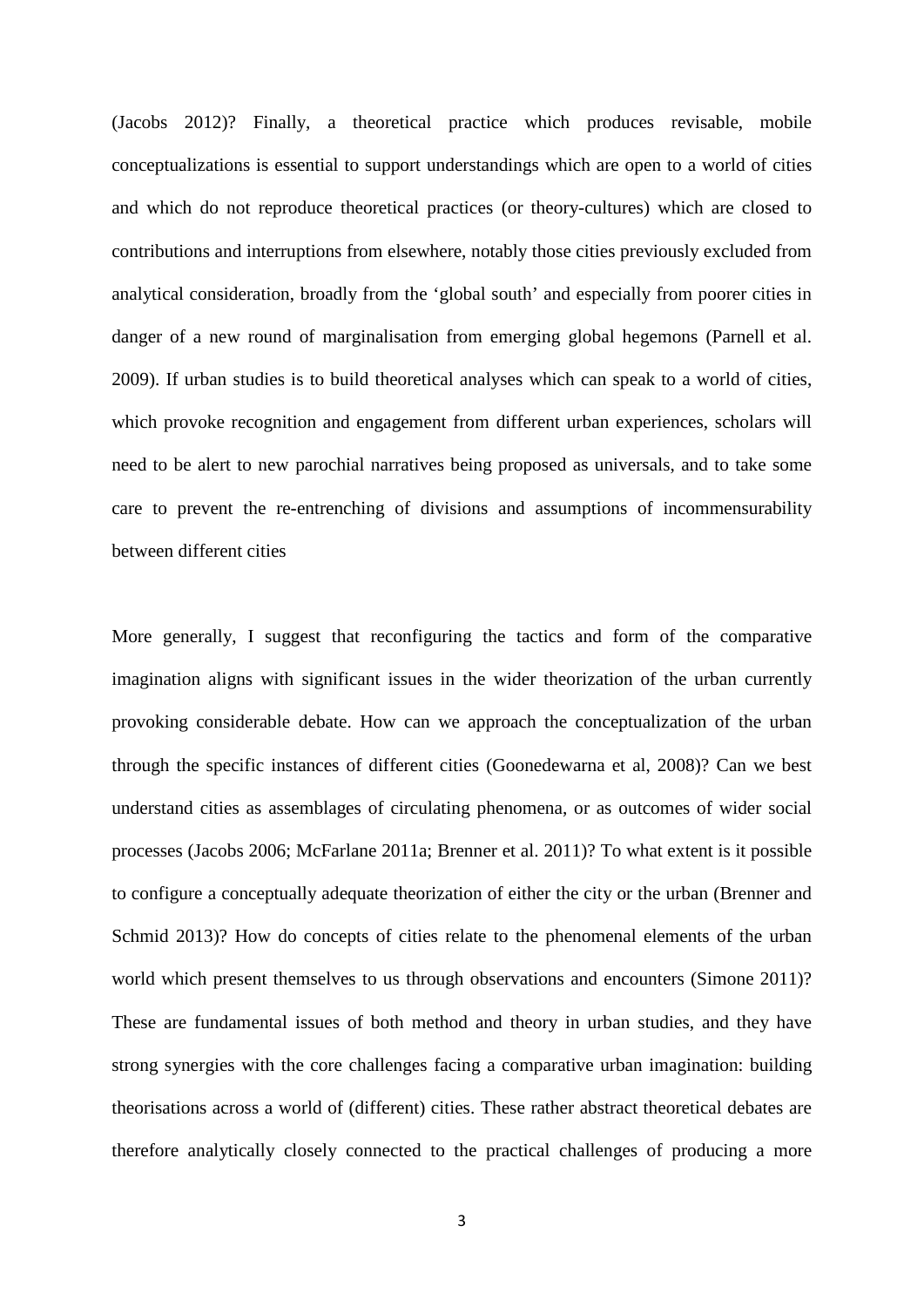(Jacobs 2012)? Finally, a theoretical practice which produces revisable, mobile conceptualizations is essential to support understandings which are open to a world of cities and which do not reproduce theoretical practices (or theory-cultures) which are closed to contributions and interruptions from elsewhere, notably those cities previously excluded from analytical consideration, broadly from the 'global south' and especially from poorer cities in danger of a new round of marginalisation from emerging global hegemons (Parnell et al. 2009). If urban studies is to build theoretical analyses which can speak to a world of cities, which provoke recognition and engagement from different urban experiences, scholars will need to be alert to new parochial narratives being proposed as universals, and to take some care to prevent the re-entrenching of divisions and assumptions of incommensurability between different cities

More generally, I suggest that reconfiguring the tactics and form of the comparative imagination aligns with significant issues in the wider theorization of the urban currently provoking considerable debate. How can we approach the conceptualization of the urban through the specific instances of different cities (Goonedewarna et al, 2008)? Can we best understand cities as assemblages of circulating phenomena, or as outcomes of wider social processes (Jacobs 2006; McFarlane 2011a; Brenner et al. 2011)? To what extent is it possible to configure a conceptually adequate theorization of either the city or the urban (Brenner and Schmid 2013)? How do concepts of cities relate to the phenomenal elements of the urban world which present themselves to us through observations and encounters (Simone 2011)? These are fundamental issues of both method and theory in urban studies, and they have strong synergies with the core challenges facing a comparative urban imagination: building theorisations across a world of (different) cities. These rather abstract theoretical debates are therefore analytically closely connected to the practical challenges of producing a more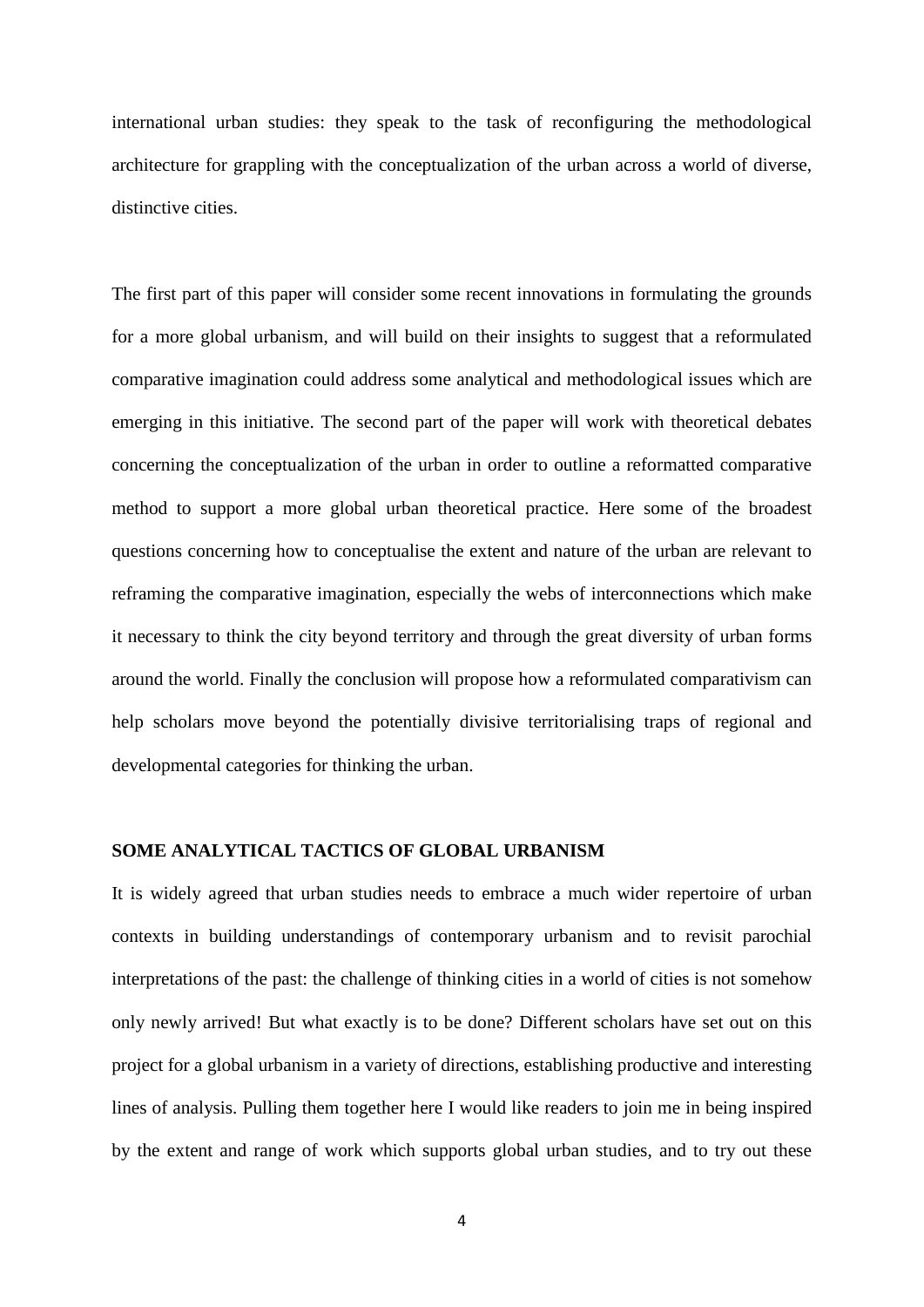international urban studies: they speak to the task of reconfiguring the methodological architecture for grappling with the conceptualization of the urban across a world of diverse, distinctive cities.

The first part of this paper will consider some recent innovations in formulating the grounds for a more global urbanism, and will build on their insights to suggest that a reformulated comparative imagination could address some analytical and methodological issues which are emerging in this initiative. The second part of the paper will work with theoretical debates concerning the conceptualization of the urban in order to outline a reformatted comparative method to support a more global urban theoretical practice. Here some of the broadest questions concerning how to conceptualise the extent and nature of the urban are relevant to reframing the comparative imagination, especially the webs of interconnections which make it necessary to think the city beyond territory and through the great diversity of urban forms around the world. Finally the conclusion will propose how a reformulated comparativism can help scholars move beyond the potentially divisive territorialising traps of regional and developmental categories for thinking the urban.

## **SOME ANALYTICAL TACTICS OF GLOBAL URBANISM**

It is widely agreed that urban studies needs to embrace a much wider repertoire of urban contexts in building understandings of contemporary urbanism and to revisit parochial interpretations of the past: the challenge of thinking cities in a world of cities is not somehow only newly arrived! But what exactly is to be done? Different scholars have set out on this project for a global urbanism in a variety of directions, establishing productive and interesting lines of analysis. Pulling them together here I would like readers to join me in being inspired by the extent and range of work which supports global urban studies, and to try out these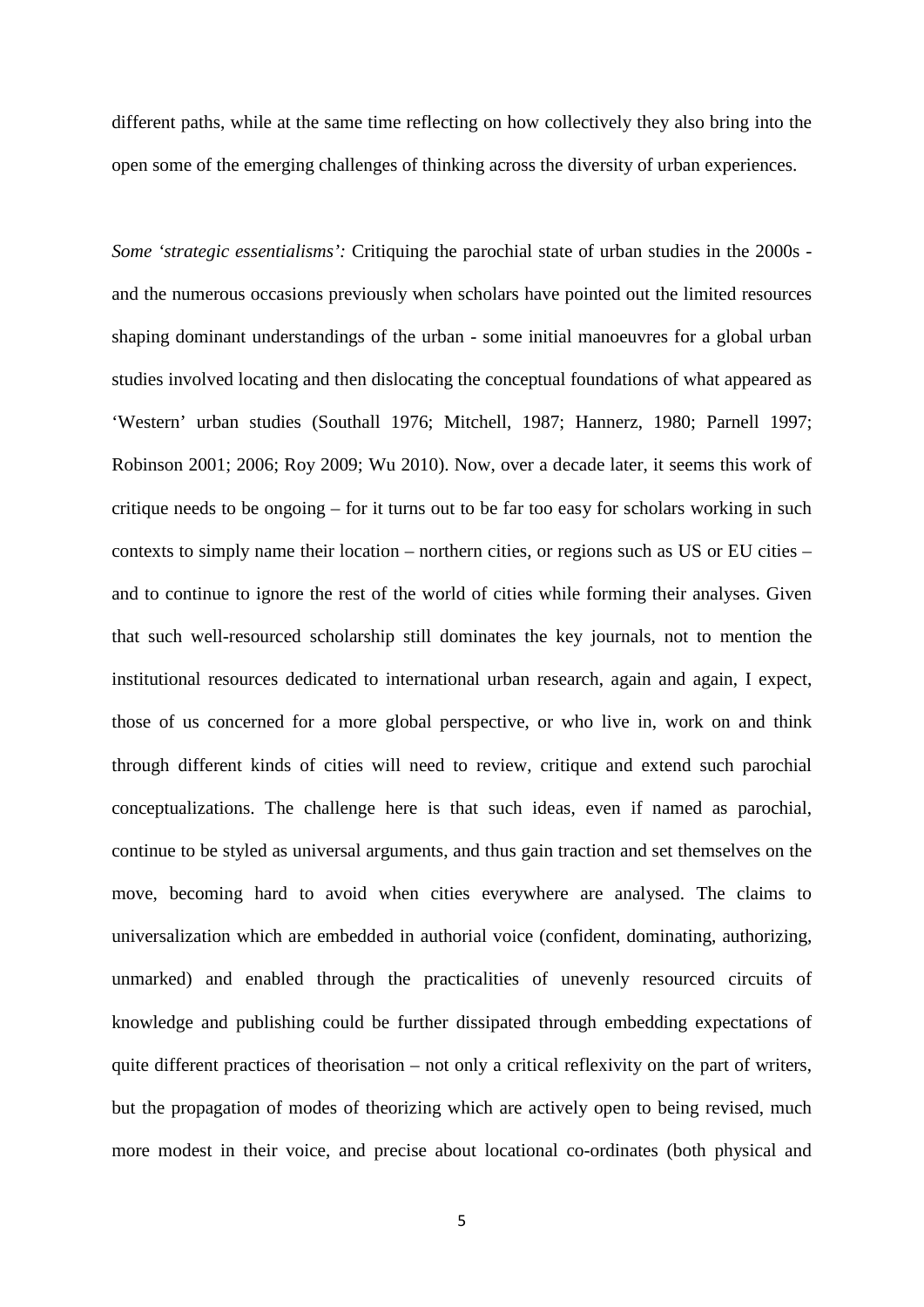different paths, while at the same time reflecting on how collectively they also bring into the open some of the emerging challenges of thinking across the diversity of urban experiences.

*Some 'strategic essentialisms':* Critiquing the parochial state of urban studies in the 2000s and the numerous occasions previously when scholars have pointed out the limited resources shaping dominant understandings of the urban - some initial manoeuvres for a global urban studies involved locating and then dislocating the conceptual foundations of what appeared as 'Western' urban studies (Southall 1976; Mitchell, 1987; Hannerz, 1980; Parnell 1997; Robinson 2001; 2006; Roy 2009; Wu 2010). Now, over a decade later, it seems this work of critique needs to be ongoing – for it turns out to be far too easy for scholars working in such contexts to simply name their location – northern cities, or regions such as US or EU cities – and to continue to ignore the rest of the world of cities while forming their analyses. Given that such well-resourced scholarship still dominates the key journals, not to mention the institutional resources dedicated to international urban research, again and again, I expect, those of us concerned for a more global perspective, or who live in, work on and think through different kinds of cities will need to review, critique and extend such parochial conceptualizations. The challenge here is that such ideas, even if named as parochial, continue to be styled as universal arguments, and thus gain traction and set themselves on the move, becoming hard to avoid when cities everywhere are analysed. The claims to universalization which are embedded in authorial voice (confident, dominating, authorizing, unmarked) and enabled through the practicalities of unevenly resourced circuits of knowledge and publishing could be further dissipated through embedding expectations of quite different practices of theorisation – not only a critical reflexivity on the part of writers, but the propagation of modes of theorizing which are actively open to being revised, much more modest in their voice, and precise about locational co-ordinates (both physical and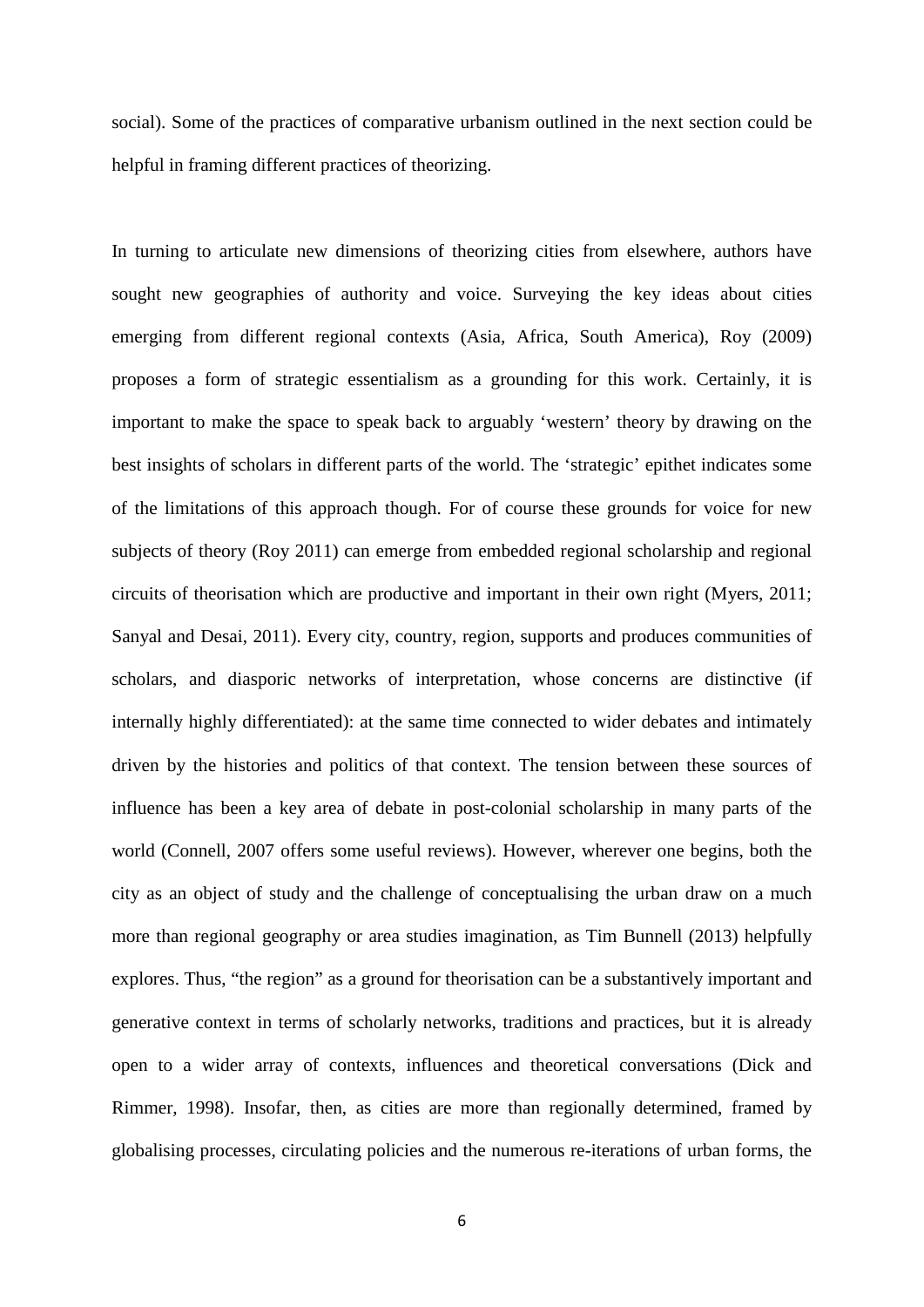social). Some of the practices of comparative urbanism outlined in the next section could be helpful in framing different practices of theorizing.

In turning to articulate new dimensions of theorizing cities from elsewhere, authors have sought new geographies of authority and voice. Surveying the key ideas about cities emerging from different regional contexts (Asia, Africa, South America), Roy (2009) proposes a form of strategic essentialism as a grounding for this work. Certainly, it is important to make the space to speak back to arguably 'western' theory by drawing on the best insights of scholars in different parts of the world. The 'strategic' epithet indicates some of the limitations of this approach though. For of course these grounds for voice for new subjects of theory (Roy 2011) can emerge from embedded regional scholarship and regional circuits of theorisation which are productive and important in their own right (Myers, 2011; Sanyal and Desai, 2011). Every city, country, region, supports and produces communities of scholars, and diasporic networks of interpretation, whose concerns are distinctive (if internally highly differentiated): at the same time connected to wider debates and intimately driven by the histories and politics of that context. The tension between these sources of influence has been a key area of debate in post-colonial scholarship in many parts of the world (Connell, 2007 offers some useful reviews). However, wherever one begins, both the city as an object of study and the challenge of conceptualising the urban draw on a much more than regional geography or area studies imagination, as Tim Bunnell (2013) helpfully explores. Thus, "the region" as a ground for theorisation can be a substantively important and generative context in terms of scholarly networks, traditions and practices, but it is already open to a wider array of contexts, influences and theoretical conversations (Dick and Rimmer, 1998). Insofar, then, as cities are more than regionally determined, framed by globalising processes, circulating policies and the numerous re-iterations of urban forms, the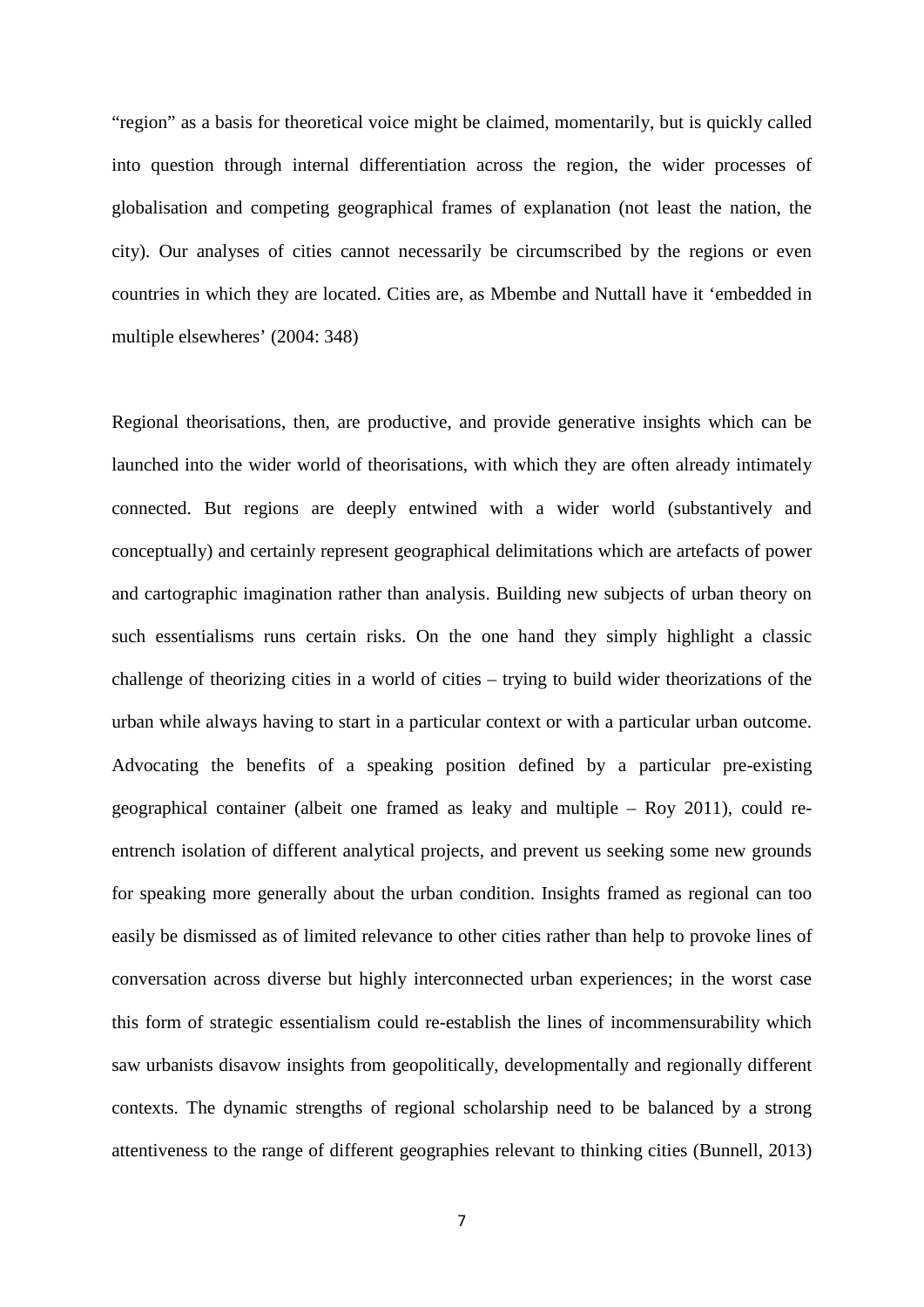"region" as a basis for theoretical voice might be claimed, momentarily, but is quickly called into question through internal differentiation across the region, the wider processes of globalisation and competing geographical frames of explanation (not least the nation, the city). Our analyses of cities cannot necessarily be circumscribed by the regions or even countries in which they are located. Cities are, as Mbembe and Nuttall have it 'embedded in multiple elsewheres' (2004: 348)

Regional theorisations, then, are productive, and provide generative insights which can be launched into the wider world of theorisations, with which they are often already intimately connected. But regions are deeply entwined with a wider world (substantively and conceptually) and certainly represent geographical delimitations which are artefacts of power and cartographic imagination rather than analysis. Building new subjects of urban theory on such essentialisms runs certain risks. On the one hand they simply highlight a classic challenge of theorizing cities in a world of cities – trying to build wider theorizations of the urban while always having to start in a particular context or with a particular urban outcome. Advocating the benefits of a speaking position defined by a particular pre-existing geographical container (albeit one framed as leaky and multiple – Roy 2011), could reentrench isolation of different analytical projects, and prevent us seeking some new grounds for speaking more generally about the urban condition. Insights framed as regional can too easily be dismissed as of limited relevance to other cities rather than help to provoke lines of conversation across diverse but highly interconnected urban experiences; in the worst case this form of strategic essentialism could re-establish the lines of incommensurability which saw urbanists disavow insights from geopolitically, developmentally and regionally different contexts. The dynamic strengths of regional scholarship need to be balanced by a strong attentiveness to the range of different geographies relevant to thinking cities (Bunnell, 2013)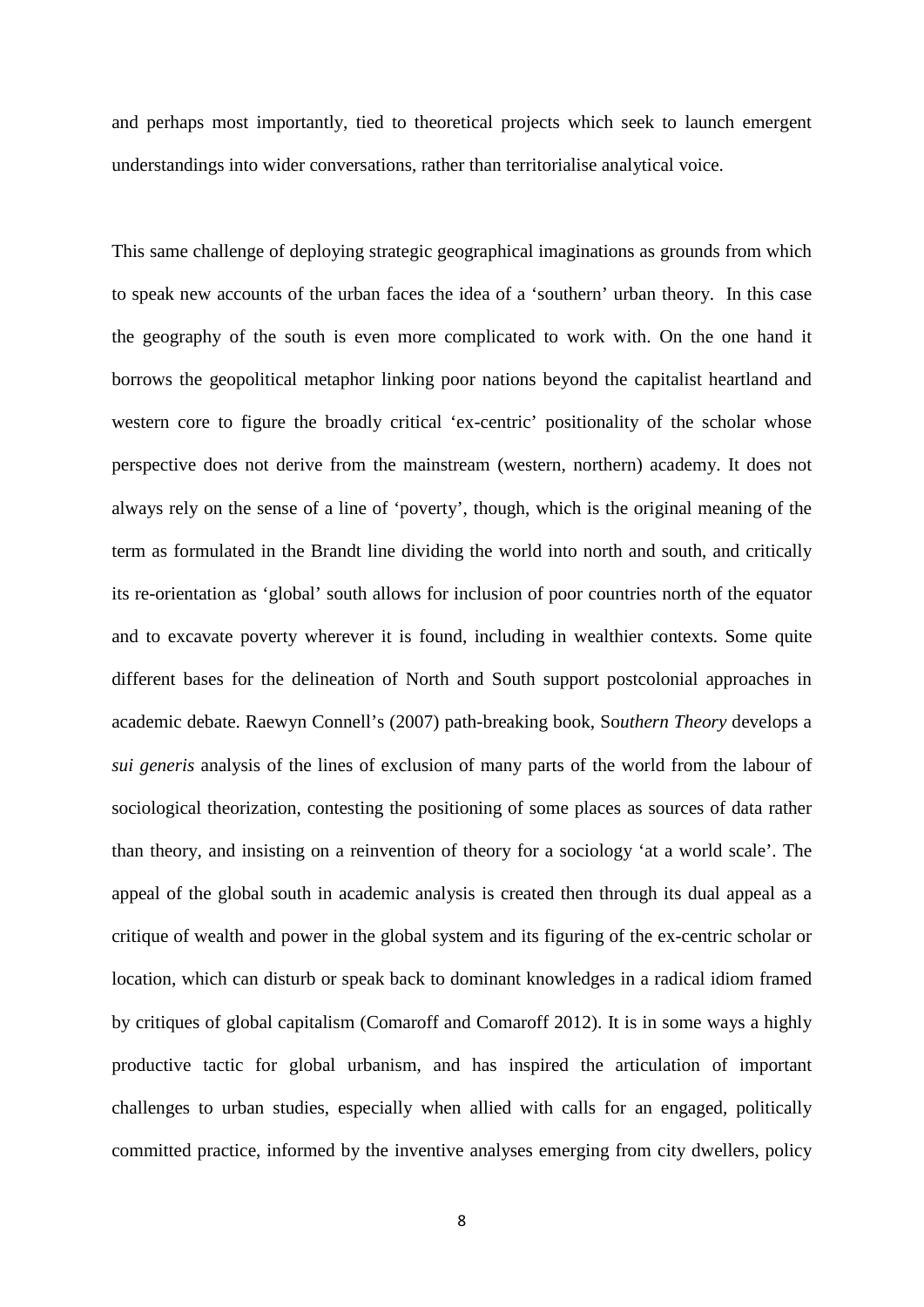and perhaps most importantly, tied to theoretical projects which seek to launch emergent understandings into wider conversations, rather than territorialise analytical voice.

This same challenge of deploying strategic geographical imaginations as grounds from which to speak new accounts of the urban faces the idea of a 'southern' urban theory. In this case the geography of the south is even more complicated to work with. On the one hand it borrows the geopolitical metaphor linking poor nations beyond the capitalist heartland and western core to figure the broadly critical 'ex-centric' positionality of the scholar whose perspective does not derive from the mainstream (western, northern) academy. It does not always rely on the sense of a line of 'poverty', though, which is the original meaning of the term as formulated in the Brandt line dividing the world into north and south, and critically its re-orientation as 'global' south allows for inclusion of poor countries north of the equator and to excavate poverty wherever it is found, including in wealthier contexts. Some quite different bases for the delineation of North and South support postcolonial approaches in academic debate. Raewyn Connell's (2007) path-breaking book, So*uthern Theory* develops a *sui generis* analysis of the lines of exclusion of many parts of the world from the labour of sociological theorization, contesting the positioning of some places as sources of data rather than theory, and insisting on a reinvention of theory for a sociology 'at a world scale'. The appeal of the global south in academic analysis is created then through its dual appeal as a critique of wealth and power in the global system and its figuring of the ex-centric scholar or location, which can disturb or speak back to dominant knowledges in a radical idiom framed by critiques of global capitalism (Comaroff and Comaroff 2012). It is in some ways a highly productive tactic for global urbanism, and has inspired the articulation of important challenges to urban studies, especially when allied with calls for an engaged, politically committed practice, informed by the inventive analyses emerging from city dwellers, policy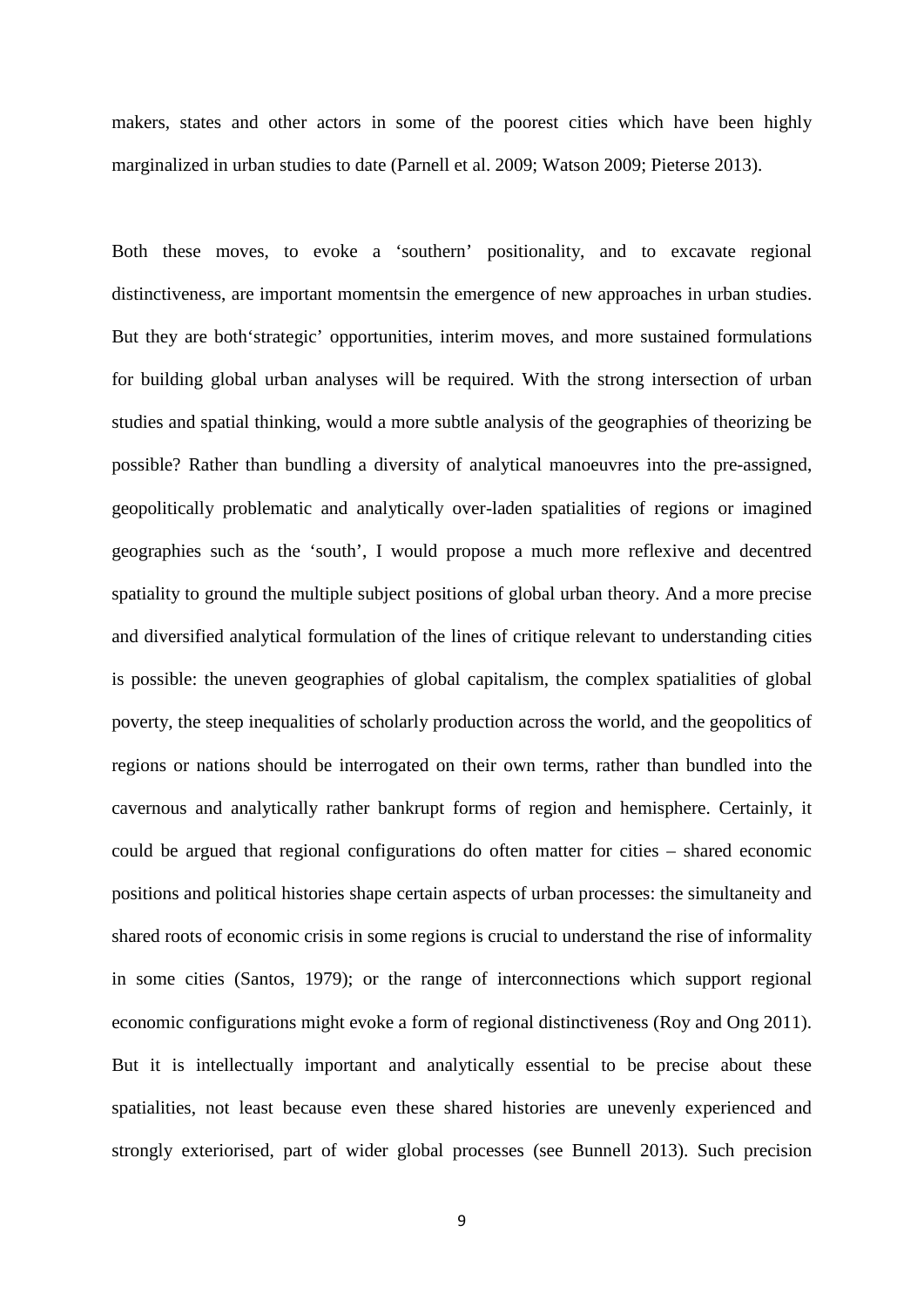makers, states and other actors in some of the poorest cities which have been highly marginalized in urban studies to date (Parnell et al. 2009; Watson 2009; Pieterse 2013).

Both these moves, to evoke a 'southern' positionality, and to excavate regional distinctiveness, are important momentsin the emergence of new approaches in urban studies. But they are both'strategic' opportunities, interim moves, and more sustained formulations for building global urban analyses will be required. With the strong intersection of urban studies and spatial thinking, would a more subtle analysis of the geographies of theorizing be possible? Rather than bundling a diversity of analytical manoeuvres into the pre-assigned, geopolitically problematic and analytically over-laden spatialities of regions or imagined geographies such as the 'south', I would propose a much more reflexive and decentred spatiality to ground the multiple subject positions of global urban theory. And a more precise and diversified analytical formulation of the lines of critique relevant to understanding cities is possible: the uneven geographies of global capitalism, the complex spatialities of global poverty, the steep inequalities of scholarly production across the world, and the geopolitics of regions or nations should be interrogated on their own terms, rather than bundled into the cavernous and analytically rather bankrupt forms of region and hemisphere. Certainly, it could be argued that regional configurations do often matter for cities – shared economic positions and political histories shape certain aspects of urban processes: the simultaneity and shared roots of economic crisis in some regions is crucial to understand the rise of informality in some cities (Santos, 1979); or the range of interconnections which support regional economic configurations might evoke a form of regional distinctiveness (Roy and Ong 2011). But it is intellectually important and analytically essential to be precise about these spatialities, not least because even these shared histories are unevenly experienced and strongly exteriorised, part of wider global processes (see Bunnell 2013). Such precision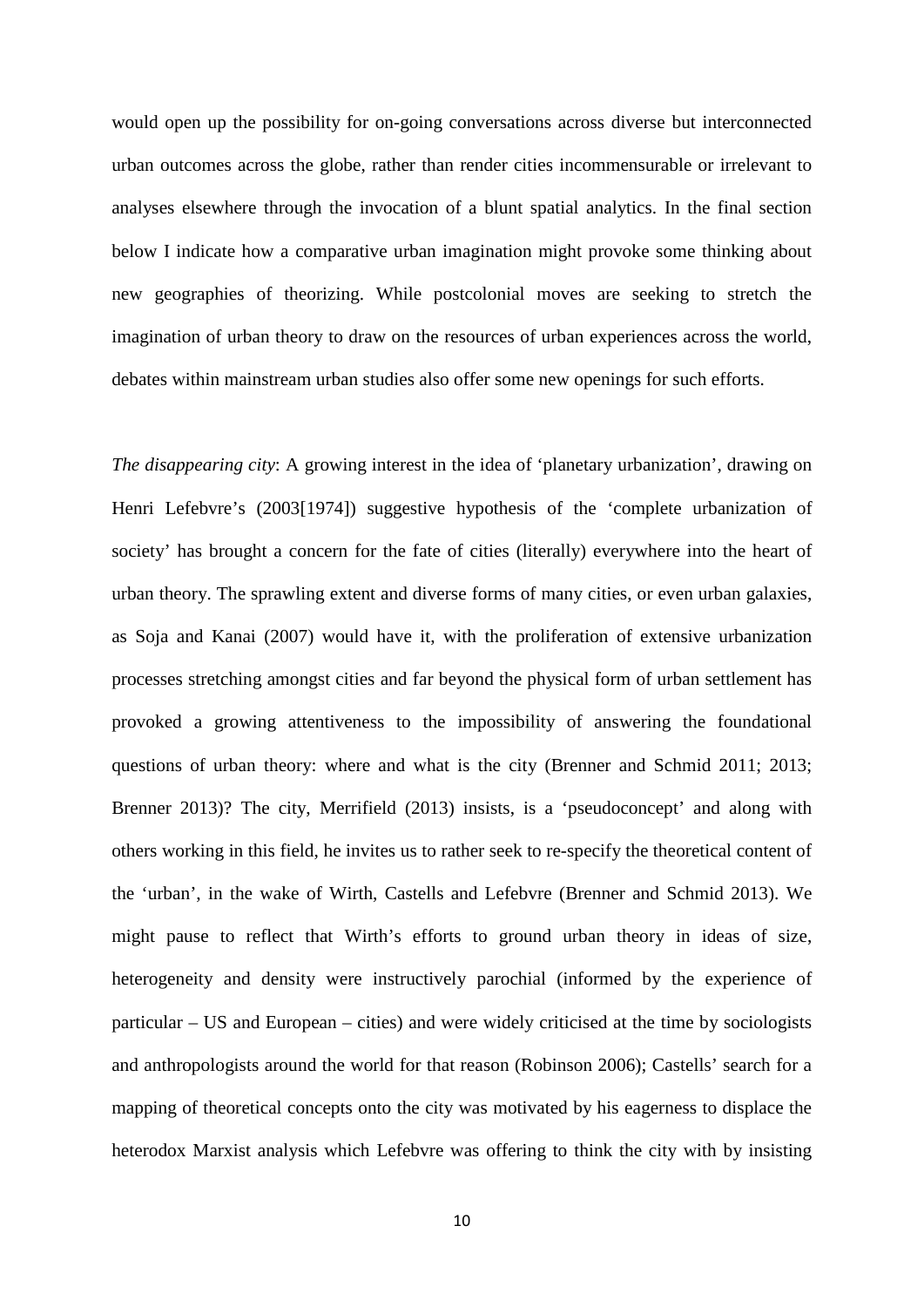would open up the possibility for on-going conversations across diverse but interconnected urban outcomes across the globe, rather than render cities incommensurable or irrelevant to analyses elsewhere through the invocation of a blunt spatial analytics. In the final section below I indicate how a comparative urban imagination might provoke some thinking about new geographies of theorizing. While postcolonial moves are seeking to stretch the imagination of urban theory to draw on the resources of urban experiences across the world, debates within mainstream urban studies also offer some new openings for such efforts.

*The disappearing city*: A growing interest in the idea of 'planetary urbanization', drawing on Henri Lefebvre's (2003[1974]) suggestive hypothesis of the 'complete urbanization of society' has brought a concern for the fate of cities (literally) everywhere into the heart of urban theory. The sprawling extent and diverse forms of many cities, or even urban galaxies, as Soja and Kanai (2007) would have it, with the proliferation of extensive urbanization processes stretching amongst cities and far beyond the physical form of urban settlement has provoked a growing attentiveness to the impossibility of answering the foundational questions of urban theory: where and what is the city (Brenner and Schmid 2011; 2013; Brenner 2013)? The city, Merrifield (2013) insists, is a 'pseudoconcept' and along with others working in this field, he invites us to rather seek to re-specify the theoretical content of the 'urban', in the wake of Wirth, Castells and Lefebvre (Brenner and Schmid 2013). We might pause to reflect that Wirth's efforts to ground urban theory in ideas of size, heterogeneity and density were instructively parochial (informed by the experience of particular – US and European – cities) and were widely criticised at the time by sociologists and anthropologists around the world for that reason (Robinson 2006); Castells' search for a mapping of theoretical concepts onto the city was motivated by his eagerness to displace the heterodox Marxist analysis which Lefebvre was offering to think the city with by insisting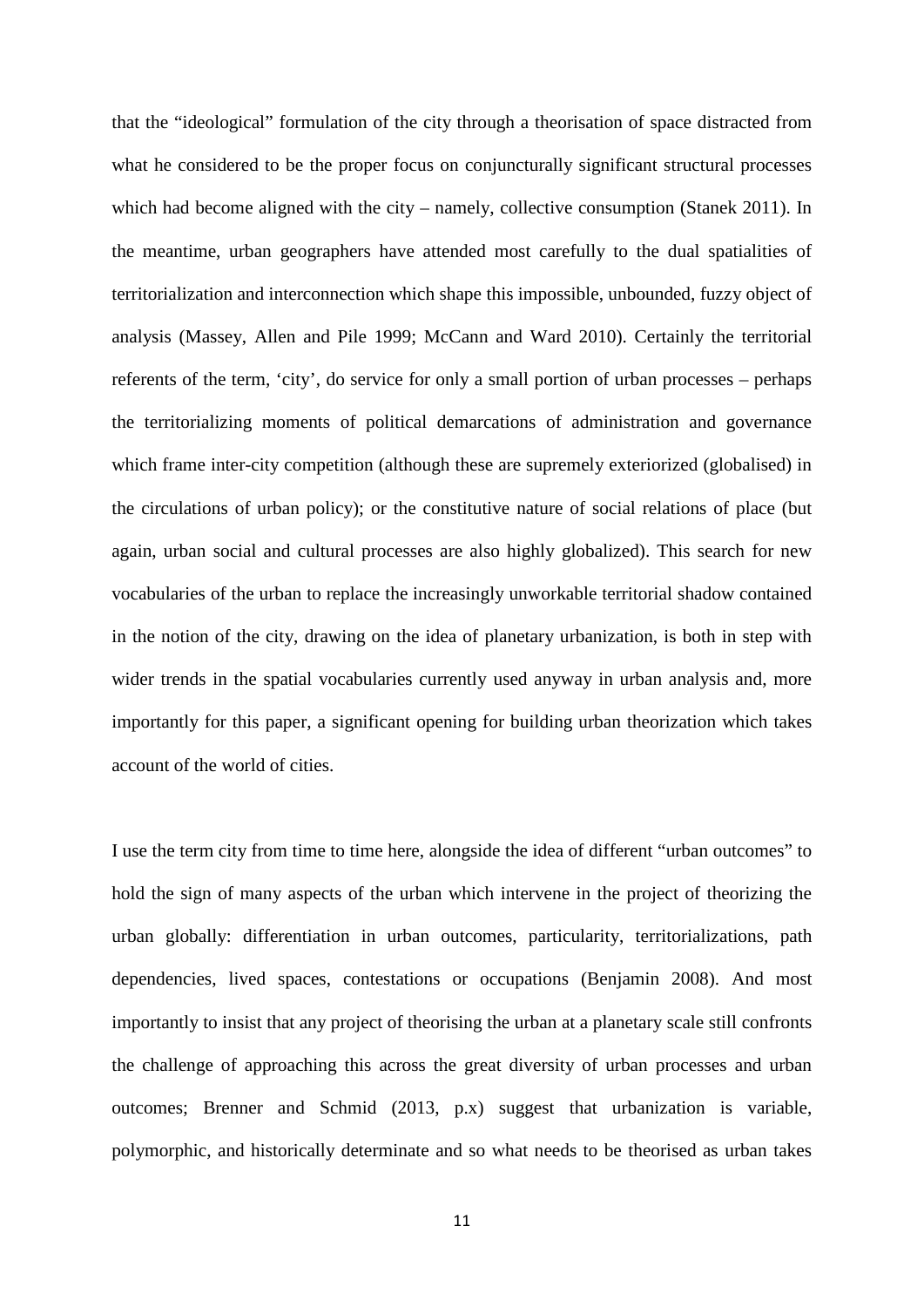that the "ideological" formulation of the city through a theorisation of space distracted from what he considered to be the proper focus on conjuncturally significant structural processes which had become aligned with the city – namely, collective consumption (Stanek 2011). In the meantime, urban geographers have attended most carefully to the dual spatialities of territorialization and interconnection which shape this impossible, unbounded, fuzzy object of analysis (Massey, Allen and Pile 1999; McCann and Ward 2010). Certainly the territorial referents of the term, 'city', do service for only a small portion of urban processes – perhaps the territorializing moments of political demarcations of administration and governance which frame inter-city competition (although these are supremely exteriorized (globalised) in the circulations of urban policy); or the constitutive nature of social relations of place (but again, urban social and cultural processes are also highly globalized). This search for new vocabularies of the urban to replace the increasingly unworkable territorial shadow contained in the notion of the city, drawing on the idea of planetary urbanization, is both in step with wider trends in the spatial vocabularies currently used anyway in urban analysis and, more importantly for this paper, a significant opening for building urban theorization which takes account of the world of cities.

I use the term city from time to time here, alongside the idea of different "urban outcomes" to hold the sign of many aspects of the urban which intervene in the project of theorizing the urban globally: differentiation in urban outcomes, particularity, territorializations, path dependencies, lived spaces, contestations or occupations (Benjamin 2008). And most importantly to insist that any project of theorising the urban at a planetary scale still confronts the challenge of approaching this across the great diversity of urban processes and urban outcomes; Brenner and Schmid (2013, p.x) suggest that urbanization is variable, polymorphic, and historically determinate and so what needs to be theorised as urban takes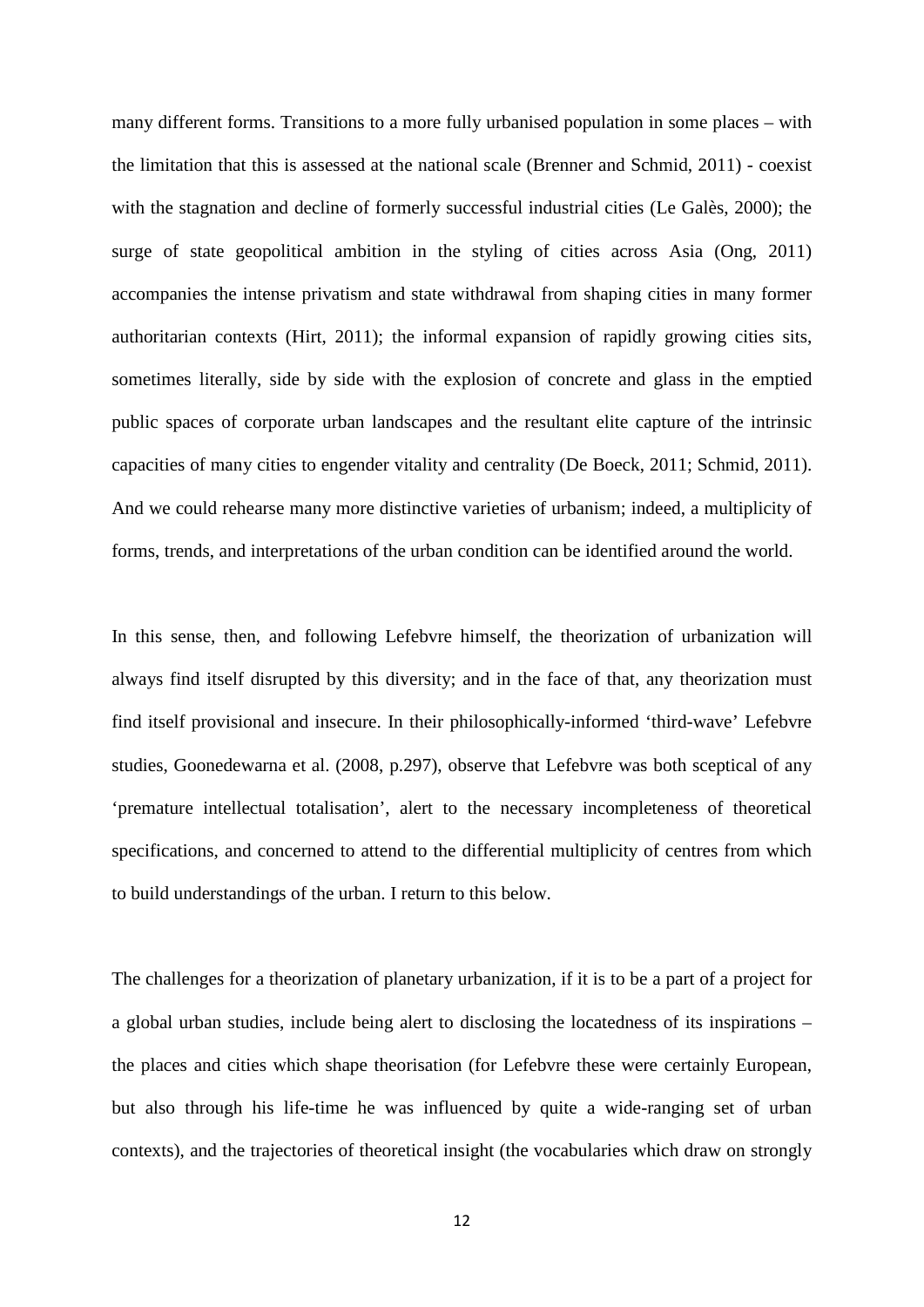many different forms. Transitions to a more fully urbanised population in some places – with the limitation that this is assessed at the national scale (Brenner and Schmid, 2011) - coexist with the stagnation and decline of formerly successful industrial cities (Le Galès, 2000); the surge of state geopolitical ambition in the styling of cities across Asia (Ong, 2011) accompanies the intense privatism and state withdrawal from shaping cities in many former authoritarian contexts (Hirt, 2011); the informal expansion of rapidly growing cities sits, sometimes literally, side by side with the explosion of concrete and glass in the emptied public spaces of corporate urban landscapes and the resultant elite capture of the intrinsic capacities of many cities to engender vitality and centrality (De Boeck, 2011; Schmid, 2011). And we could rehearse many more distinctive varieties of urbanism; indeed, a multiplicity of forms, trends, and interpretations of the urban condition can be identified around the world.

In this sense, then, and following Lefebvre himself, the theorization of urbanization will always find itself disrupted by this diversity; and in the face of that, any theorization must find itself provisional and insecure. In their philosophically-informed 'third-wave' Lefebvre studies, Goonedewarna et al. (2008, p.297), observe that Lefebvre was both sceptical of any 'premature intellectual totalisation', alert to the necessary incompleteness of theoretical specifications, and concerned to attend to the differential multiplicity of centres from which to build understandings of the urban. I return to this below.

The challenges for a theorization of planetary urbanization, if it is to be a part of a project for a global urban studies, include being alert to disclosing the locatedness of its inspirations – the places and cities which shape theorisation (for Lefebvre these were certainly European, but also through his life-time he was influenced by quite a wide-ranging set of urban contexts), and the trajectories of theoretical insight (the vocabularies which draw on strongly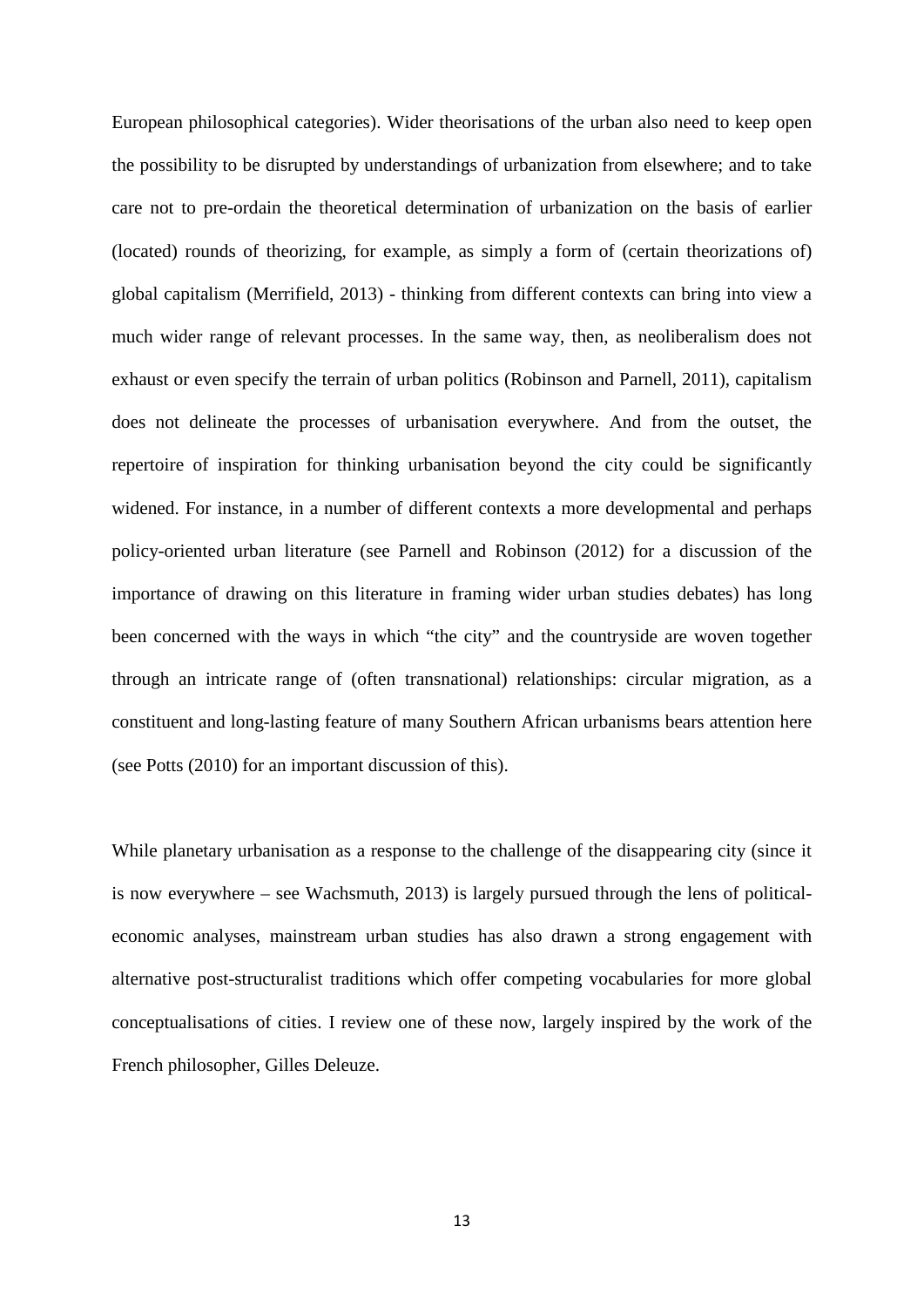European philosophical categories). Wider theorisations of the urban also need to keep open the possibility to be disrupted by understandings of urbanization from elsewhere; and to take care not to pre-ordain the theoretical determination of urbanization on the basis of earlier (located) rounds of theorizing, for example, as simply a form of (certain theorizations of) global capitalism (Merrifield, 2013) - thinking from different contexts can bring into view a much wider range of relevant processes. In the same way, then, as neoliberalism does not exhaust or even specify the terrain of urban politics (Robinson and Parnell, 2011), capitalism does not delineate the processes of urbanisation everywhere. And from the outset, the repertoire of inspiration for thinking urbanisation beyond the city could be significantly widened. For instance, in a number of different contexts a more developmental and perhaps policy-oriented urban literature (see Parnell and Robinson (2012) for a discussion of the importance of drawing on this literature in framing wider urban studies debates) has long been concerned with the ways in which "the city" and the countryside are woven together through an intricate range of (often transnational) relationships: circular migration, as a constituent and long-lasting feature of many Southern African urbanisms bears attention here (see Potts (2010) for an important discussion of this).

While planetary urbanisation as a response to the challenge of the disappearing city (since it is now everywhere – see Wachsmuth, 2013) is largely pursued through the lens of politicaleconomic analyses, mainstream urban studies has also drawn a strong engagement with alternative post-structuralist traditions which offer competing vocabularies for more global conceptualisations of cities. I review one of these now, largely inspired by the work of the French philosopher, Gilles Deleuze.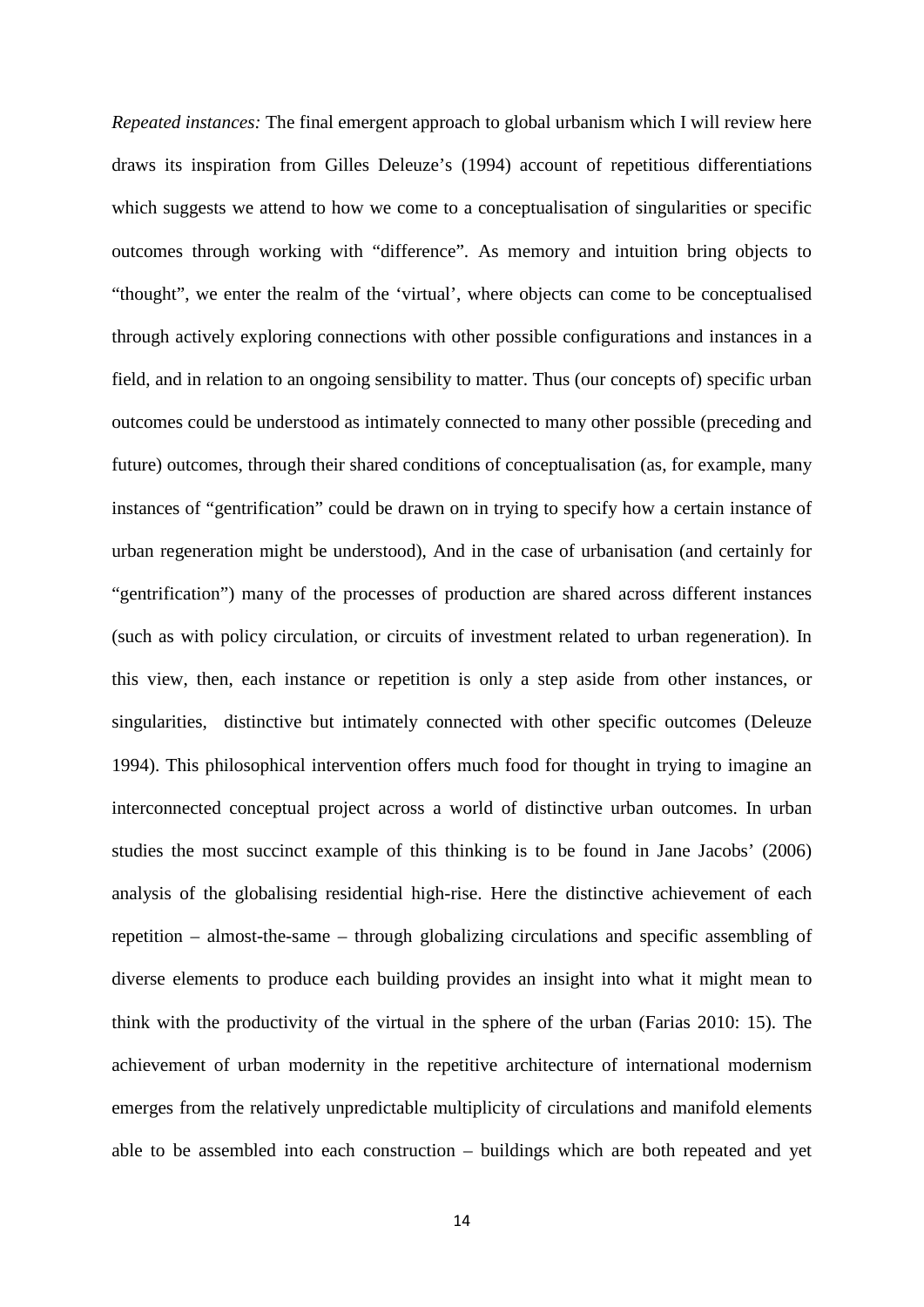*Repeated instances:* The final emergent approach to global urbanism which I will review here draws its inspiration from Gilles Deleuze's (1994) account of repetitious differentiations which suggests we attend to how we come to a conceptualisation of singularities or specific outcomes through working with "difference". As memory and intuition bring objects to "thought", we enter the realm of the 'virtual', where objects can come to be conceptualised through actively exploring connections with other possible configurations and instances in a field, and in relation to an ongoing sensibility to matter. Thus (our concepts of) specific urban outcomes could be understood as intimately connected to many other possible (preceding and future) outcomes, through their shared conditions of conceptualisation (as, for example, many instances of "gentrification" could be drawn on in trying to specify how a certain instance of urban regeneration might be understood), And in the case of urbanisation (and certainly for "gentrification") many of the processes of production are shared across different instances (such as with policy circulation, or circuits of investment related to urban regeneration). In this view, then, each instance or repetition is only a step aside from other instances, or singularities, distinctive but intimately connected with other specific outcomes (Deleuze 1994). This philosophical intervention offers much food for thought in trying to imagine an interconnected conceptual project across a world of distinctive urban outcomes. In urban studies the most succinct example of this thinking is to be found in Jane Jacobs' (2006) analysis of the globalising residential high-rise. Here the distinctive achievement of each repetition – almost-the-same – through globalizing circulations and specific assembling of diverse elements to produce each building provides an insight into what it might mean to think with the productivity of the virtual in the sphere of the urban (Farias 2010: 15). The achievement of urban modernity in the repetitive architecture of international modernism emerges from the relatively unpredictable multiplicity of circulations and manifold elements able to be assembled into each construction – buildings which are both repeated and yet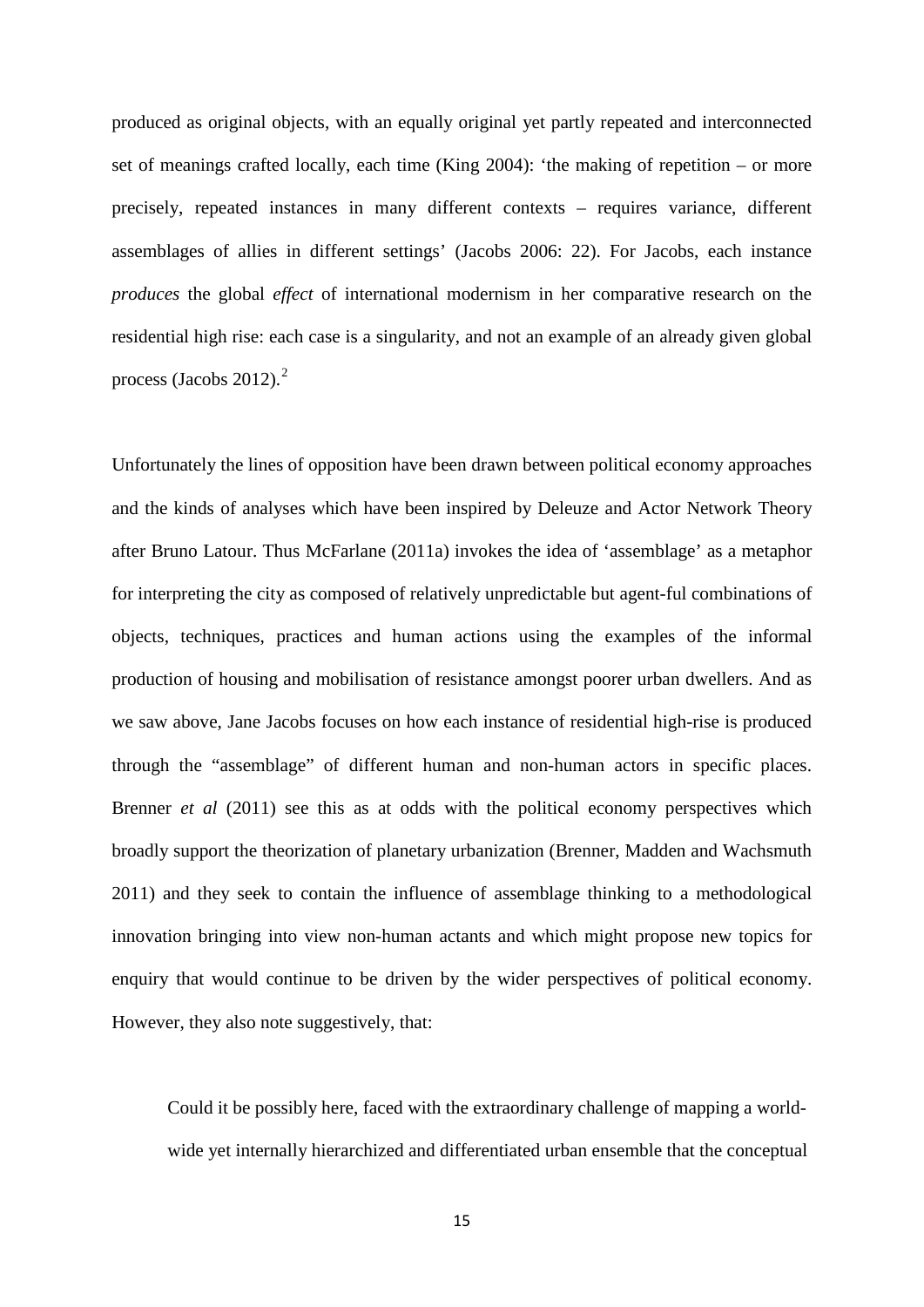produced as original objects, with an equally original yet partly repeated and interconnected set of meanings crafted locally, each time (King  $2004$ ): 'the making of repetition – or more precisely, repeated instances in many different contexts – requires variance, different assemblages of allies in different settings' (Jacobs 2006: 22). For Jacobs, each instance *produces* the global *effect* of international modernism in her comparative research on the residential high rise: each case is a singularity, and not an example of an already given global process (Jacobs [2](#page-32-1)012).<sup>2</sup>

Unfortunately the lines of opposition have been drawn between political economy approaches and the kinds of analyses which have been inspired by Deleuze and Actor Network Theory after Bruno Latour. Thus McFarlane (2011a) invokes the idea of 'assemblage' as a metaphor for interpreting the city as composed of relatively unpredictable but agent-ful combinations of objects, techniques, practices and human actions using the examples of the informal production of housing and mobilisation of resistance amongst poorer urban dwellers. And as we saw above, Jane Jacobs focuses on how each instance of residential high-rise is produced through the "assemblage" of different human and non-human actors in specific places. Brenner *et al* (2011) see this as at odds with the political economy perspectives which broadly support the theorization of planetary urbanization (Brenner, Madden and Wachsmuth 2011) and they seek to contain the influence of assemblage thinking to a methodological innovation bringing into view non-human actants and which might propose new topics for enquiry that would continue to be driven by the wider perspectives of political economy. However, they also note suggestively, that:

Could it be possibly here, faced with the extraordinary challenge of mapping a worldwide yet internally hierarchized and differentiated urban ensemble that the conceptual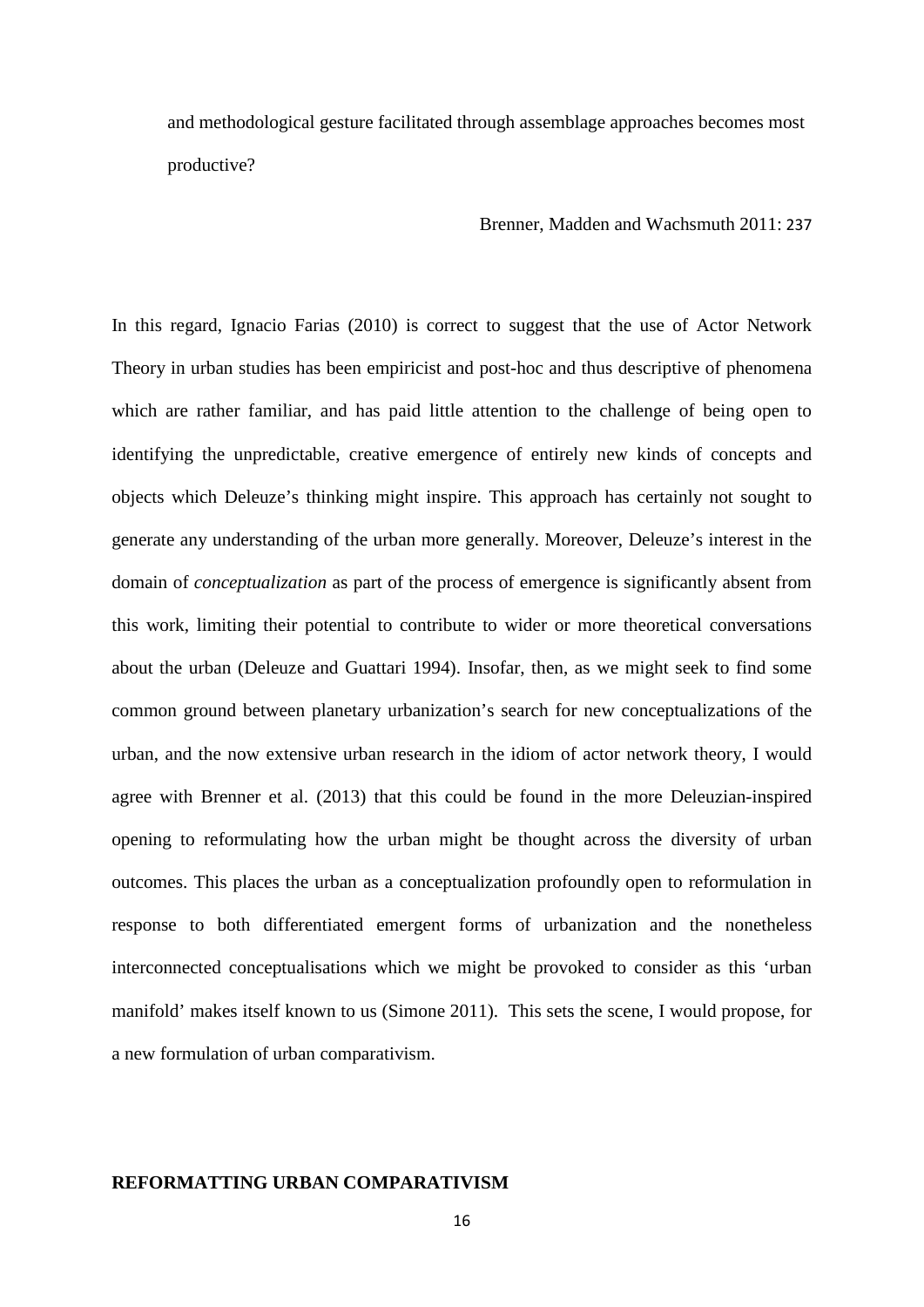and methodological gesture facilitated through assemblage approaches becomes most productive?

#### Brenner, Madden and Wachsmuth 2011: 237

In this regard, Ignacio Farias (2010) is correct to suggest that the use of Actor Network Theory in urban studies has been empiricist and post-hoc and thus descriptive of phenomena which are rather familiar, and has paid little attention to the challenge of being open to identifying the unpredictable, creative emergence of entirely new kinds of concepts and objects which Deleuze's thinking might inspire. This approach has certainly not sought to generate any understanding of the urban more generally. Moreover, Deleuze's interest in the domain of *conceptualization* as part of the process of emergence is significantly absent from this work, limiting their potential to contribute to wider or more theoretical conversations about the urban (Deleuze and Guattari 1994). Insofar, then, as we might seek to find some common ground between planetary urbanization's search for new conceptualizations of the urban, and the now extensive urban research in the idiom of actor network theory, I would agree with Brenner et al. (2013) that this could be found in the more Deleuzian-inspired opening to reformulating how the urban might be thought across the diversity of urban outcomes. This places the urban as a conceptualization profoundly open to reformulation in response to both differentiated emergent forms of urbanization and the nonetheless interconnected conceptualisations which we might be provoked to consider as this 'urban manifold' makes itself known to us (Simone 2011). This sets the scene, I would propose, for a new formulation of urban comparativism.

## **REFORMATTING URBAN COMPARATIVISM**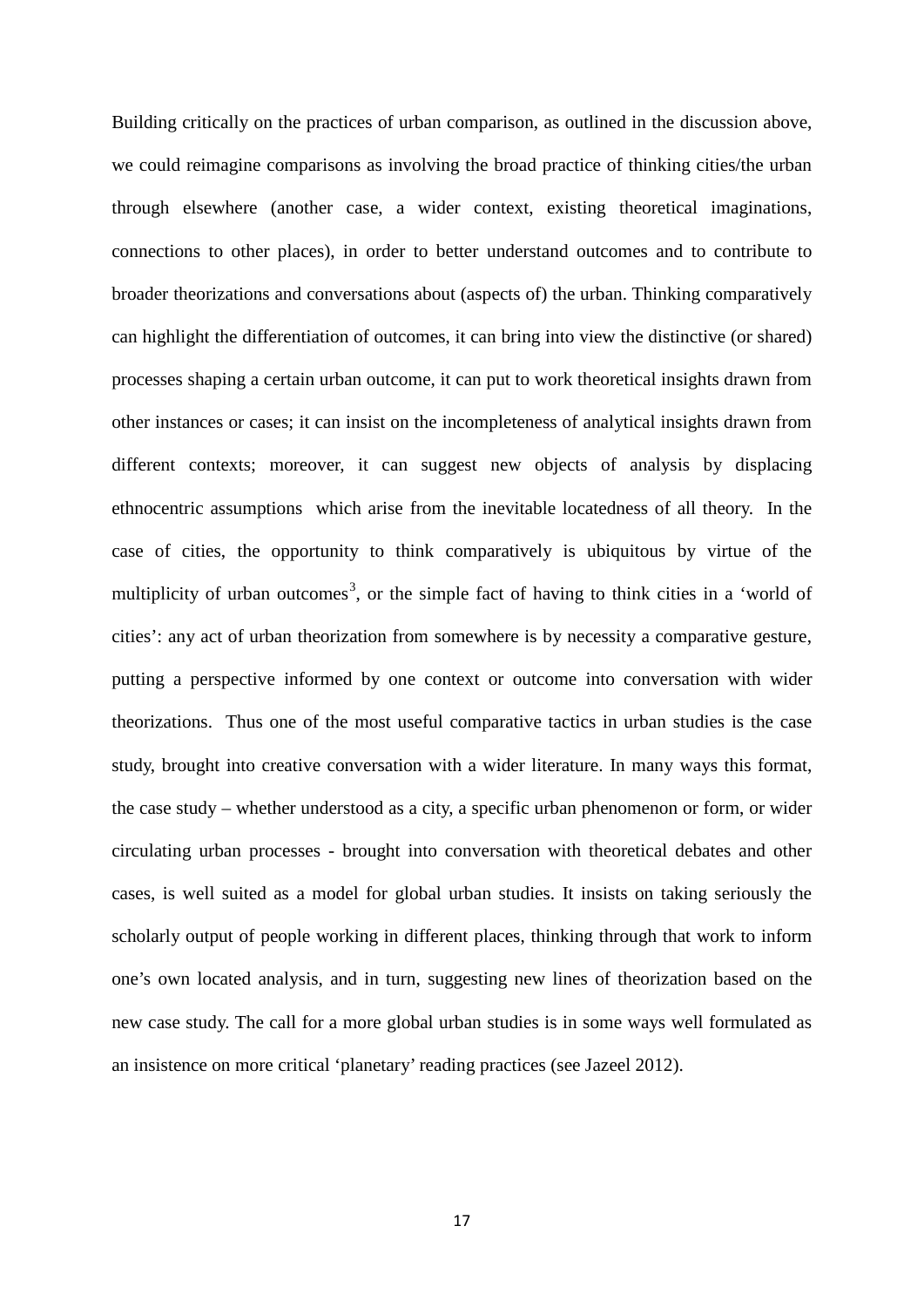Building critically on the practices of urban comparison, as outlined in the discussion above, we could reimagine comparisons as involving the broad practice of thinking cities/the urban through elsewhere (another case, a wider context, existing theoretical imaginations, connections to other places), in order to better understand outcomes and to contribute to broader theorizations and conversations about (aspects of) the urban. Thinking comparatively can highlight the differentiation of outcomes, it can bring into view the distinctive (or shared) processes shaping a certain urban outcome, it can put to work theoretical insights drawn from other instances or cases; it can insist on the incompleteness of analytical insights drawn from different contexts; moreover, it can suggest new objects of analysis by displacing ethnocentric assumptions which arise from the inevitable locatedness of all theory. In the case of cities, the opportunity to think comparatively is ubiquitous by virtue of the multiplicity of urban outcomes<sup>[3](#page-32-2)</sup>, or the simple fact of having to think cities in a 'world of cities': any act of urban theorization from somewhere is by necessity a comparative gesture, putting a perspective informed by one context or outcome into conversation with wider theorizations. Thus one of the most useful comparative tactics in urban studies is the case study, brought into creative conversation with a wider literature. In many ways this format, the case study – whether understood as a city, a specific urban phenomenon or form, or wider circulating urban processes - brought into conversation with theoretical debates and other cases, is well suited as a model for global urban studies. It insists on taking seriously the scholarly output of people working in different places, thinking through that work to inform one's own located analysis, and in turn, suggesting new lines of theorization based on the new case study. The call for a more global urban studies is in some ways well formulated as an insistence on more critical 'planetary' reading practices (see Jazeel 2012).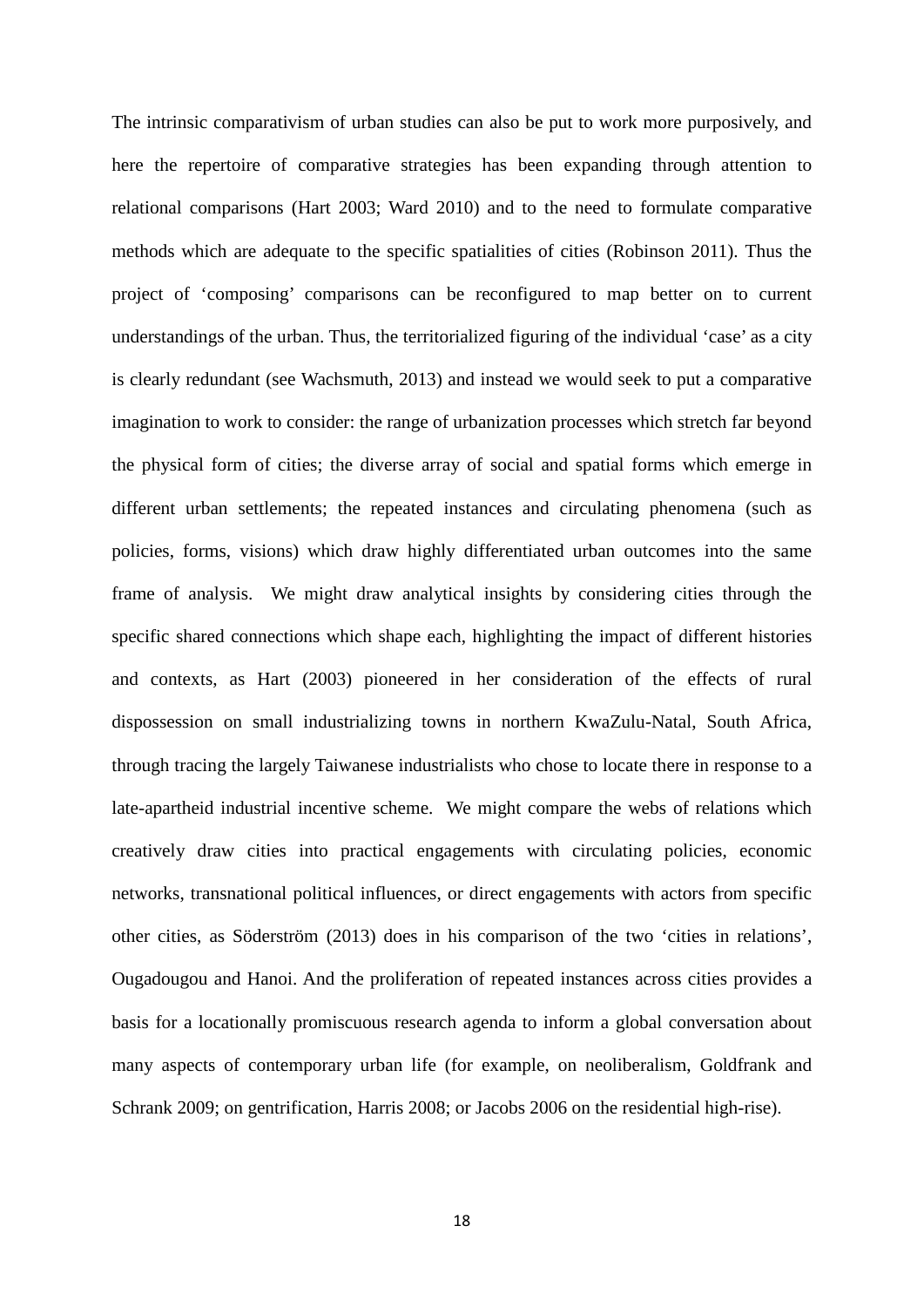The intrinsic comparativism of urban studies can also be put to work more purposively, and here the repertoire of comparative strategies has been expanding through attention to relational comparisons (Hart 2003; Ward 2010) and to the need to formulate comparative methods which are adequate to the specific spatialities of cities (Robinson 2011). Thus the project of 'composing' comparisons can be reconfigured to map better on to current understandings of the urban. Thus, the territorialized figuring of the individual 'case' as a city is clearly redundant (see Wachsmuth, 2013) and instead we would seek to put a comparative imagination to work to consider: the range of urbanization processes which stretch far beyond the physical form of cities; the diverse array of social and spatial forms which emerge in different urban settlements; the repeated instances and circulating phenomena (such as policies, forms, visions) which draw highly differentiated urban outcomes into the same frame of analysis. We might draw analytical insights by considering cities through the specific shared connections which shape each, highlighting the impact of different histories and contexts, as Hart (2003) pioneered in her consideration of the effects of rural dispossession on small industrializing towns in northern KwaZulu-Natal, South Africa, through tracing the largely Taiwanese industrialists who chose to locate there in response to a late-apartheid industrial incentive scheme. We might compare the webs of relations which creatively draw cities into practical engagements with circulating policies, economic networks, transnational political influences, or direct engagements with actors from specific other cities, as Söderström (2013) does in his comparison of the two 'cities in relations', Ougadougou and Hanoi. And the proliferation of repeated instances across cities provides a basis for a locationally promiscuous research agenda to inform a global conversation about many aspects of contemporary urban life (for example, on neoliberalism, Goldfrank and Schrank 2009; on gentrification, Harris 2008; or Jacobs 2006 on the residential high-rise).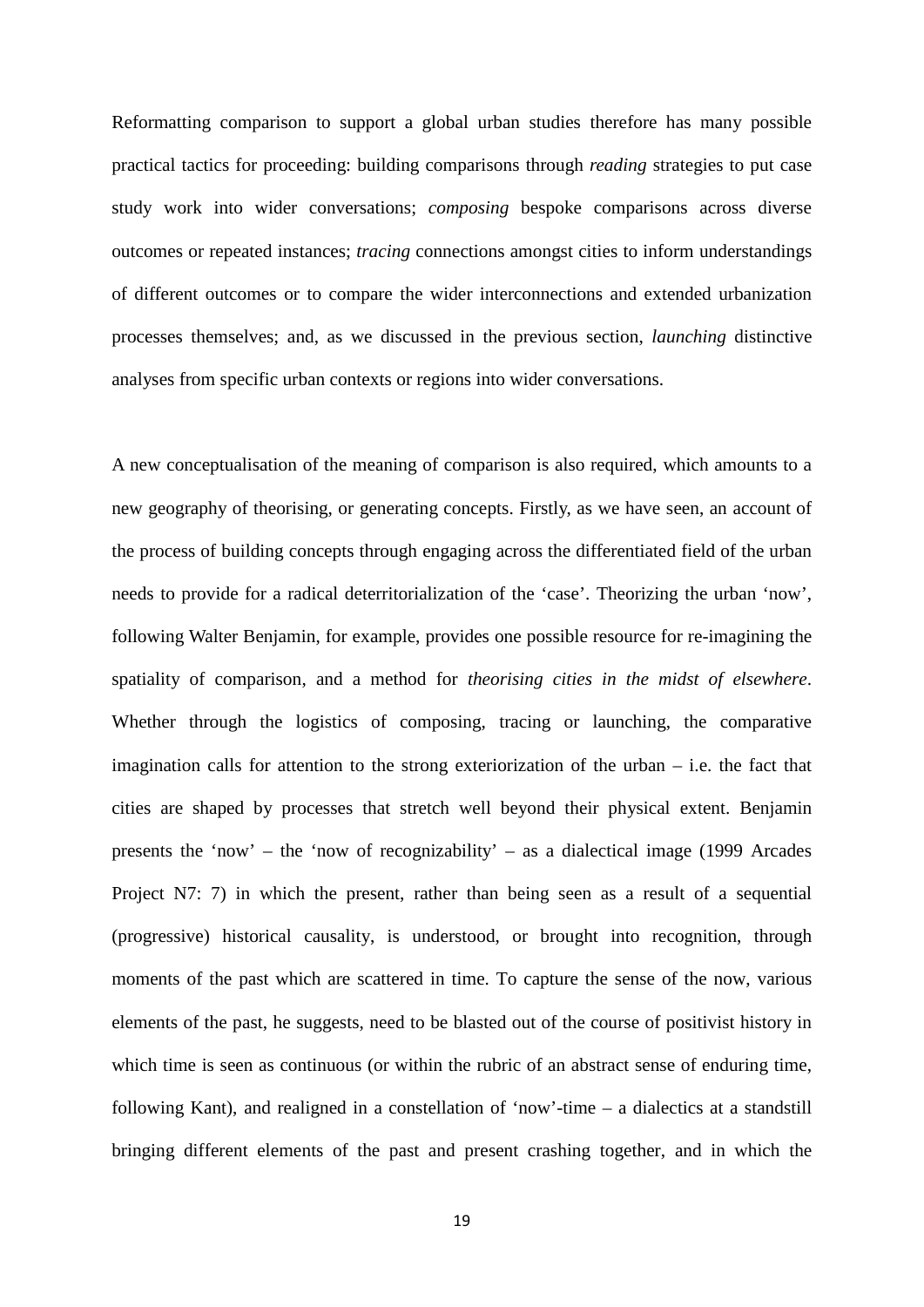Reformatting comparison to support a global urban studies therefore has many possible practical tactics for proceeding: building comparisons through *reading* strategies to put case study work into wider conversations; *composing* bespoke comparisons across diverse outcomes or repeated instances; *tracing* connections amongst cities to inform understandings of different outcomes or to compare the wider interconnections and extended urbanization processes themselves; and, as we discussed in the previous section, *launching* distinctive analyses from specific urban contexts or regions into wider conversations.

A new conceptualisation of the meaning of comparison is also required, which amounts to a new geography of theorising, or generating concepts. Firstly, as we have seen, an account of the process of building concepts through engaging across the differentiated field of the urban needs to provide for a radical deterritorialization of the 'case'. Theorizing the urban 'now', following Walter Benjamin, for example, provides one possible resource for re-imagining the spatiality of comparison, and a method for *theorising cities in the midst of elsewhere*. Whether through the logistics of composing, tracing or launching, the comparative imagination calls for attention to the strong exteriorization of the urban – i.e. the fact that cities are shaped by processes that stretch well beyond their physical extent. Benjamin presents the 'now' – the 'now of recognizability' – as a dialectical image (1999 Arcades Project N7: 7) in which the present, rather than being seen as a result of a sequential (progressive) historical causality, is understood, or brought into recognition, through moments of the past which are scattered in time. To capture the sense of the now, various elements of the past, he suggests, need to be blasted out of the course of positivist history in which time is seen as continuous (or within the rubric of an abstract sense of enduring time, following Kant), and realigned in a constellation of 'now'-time – a dialectics at a standstill bringing different elements of the past and present crashing together, and in which the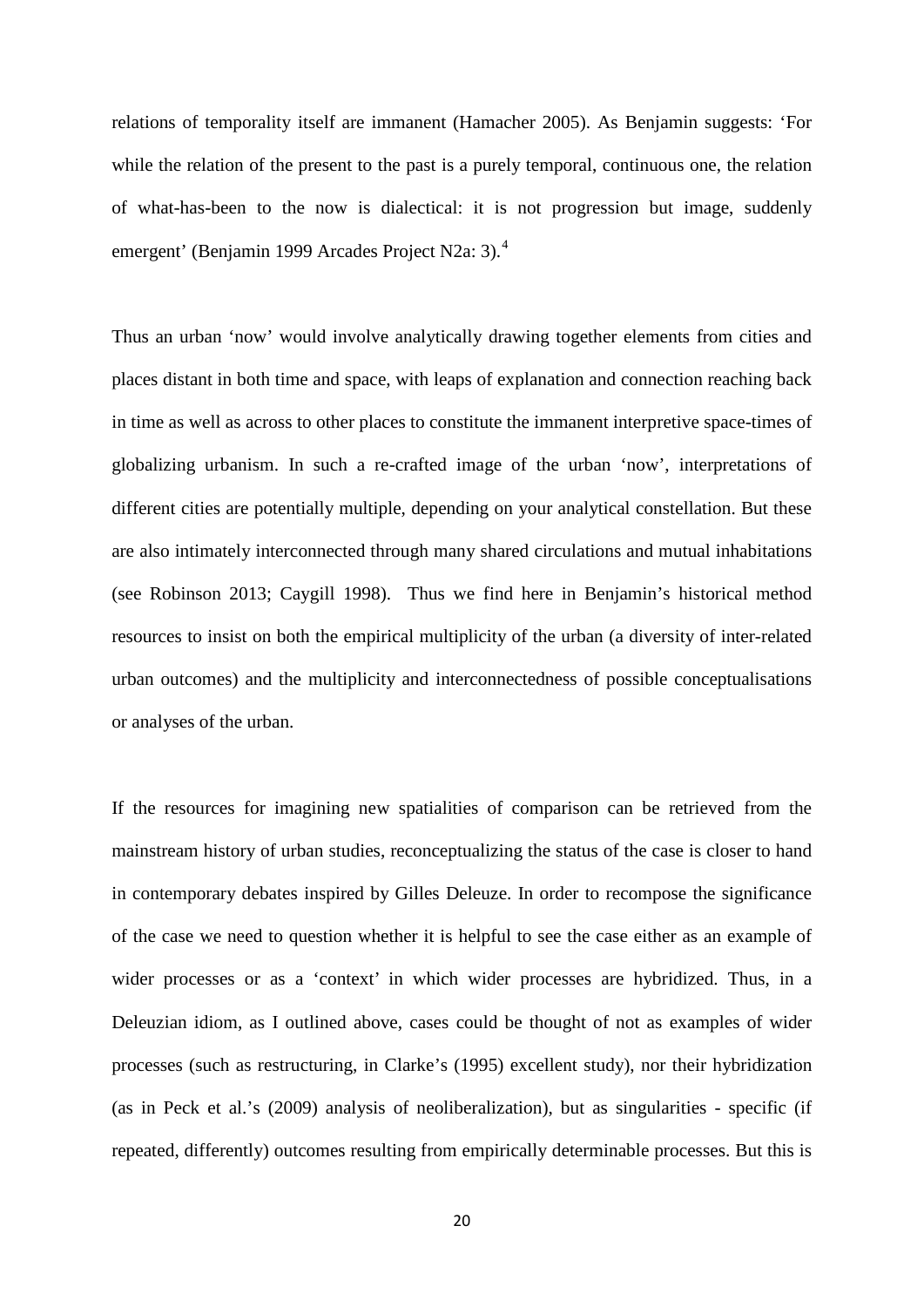relations of temporality itself are immanent (Hamacher 2005). As Benjamin suggests: 'For while the relation of the present to the past is a purely temporal, continuous one, the relation of what-has-been to the now is dialectical: it is not progression but image, suddenly emergent' (Benjamin 1999 Arcades Project N2a: 3).<sup>[4](#page-32-3)</sup>

Thus an urban 'now' would involve analytically drawing together elements from cities and places distant in both time and space, with leaps of explanation and connection reaching back in time as well as across to other places to constitute the immanent interpretive space-times of globalizing urbanism. In such a re-crafted image of the urban 'now', interpretations of different cities are potentially multiple, depending on your analytical constellation. But these are also intimately interconnected through many shared circulations and mutual inhabitations (see Robinson 2013; Caygill 1998). Thus we find here in Benjamin's historical method resources to insist on both the empirical multiplicity of the urban (a diversity of inter-related urban outcomes) and the multiplicity and interconnectedness of possible conceptualisations or analyses of the urban.

If the resources for imagining new spatialities of comparison can be retrieved from the mainstream history of urban studies, reconceptualizing the status of the case is closer to hand in contemporary debates inspired by Gilles Deleuze. In order to recompose the significance of the case we need to question whether it is helpful to see the case either as an example of wider processes or as a 'context' in which wider processes are hybridized. Thus, in a Deleuzian idiom, as I outlined above, cases could be thought of not as examples of wider processes (such as restructuring, in Clarke's (1995) excellent study), nor their hybridization (as in Peck et al.'s (2009) analysis of neoliberalization), but as singularities - specific (if repeated, differently) outcomes resulting from empirically determinable processes. But this is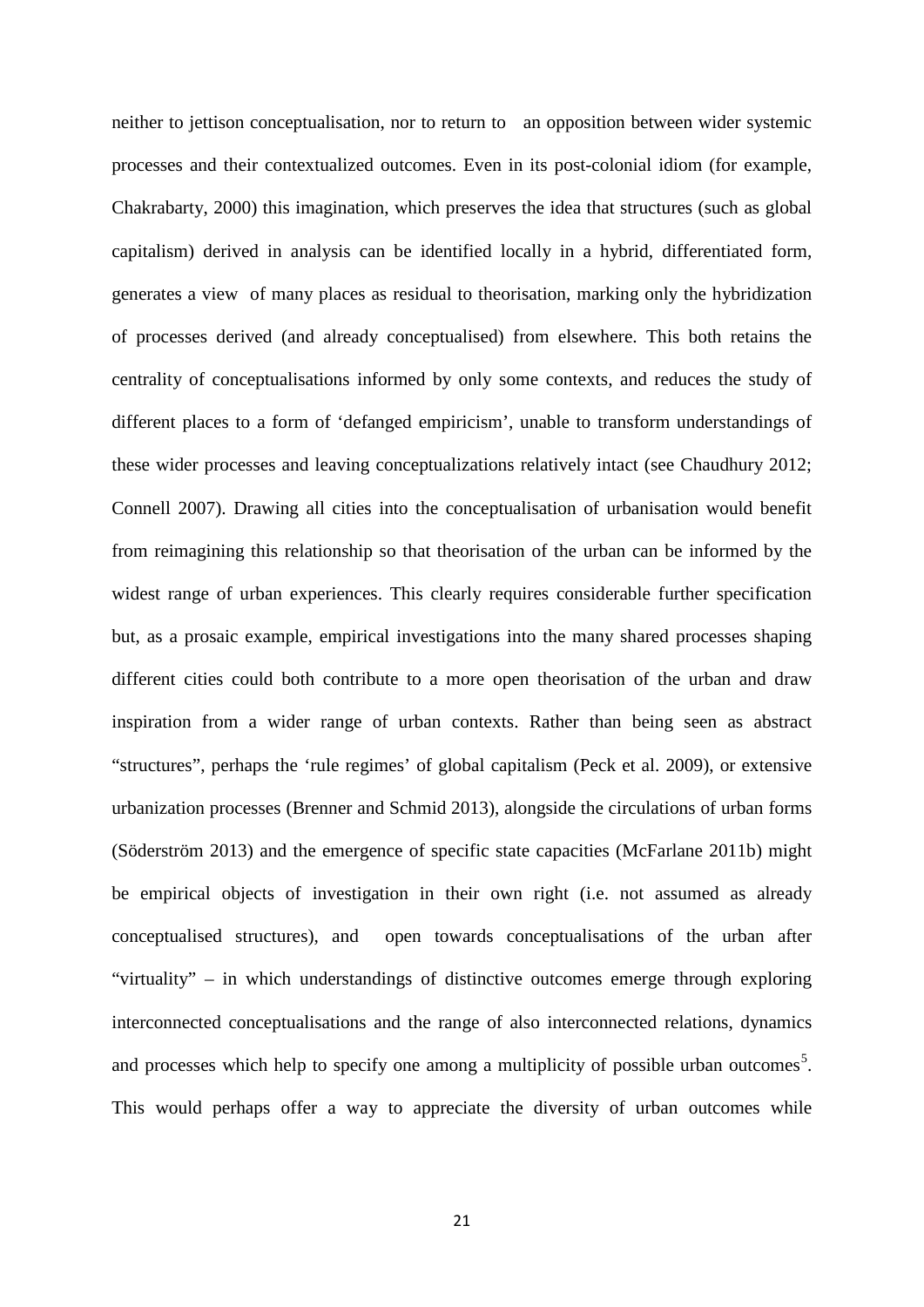neither to jettison conceptualisation, nor to return to an opposition between wider systemic processes and their contextualized outcomes. Even in its post-colonial idiom (for example, Chakrabarty, 2000) this imagination, which preserves the idea that structures (such as global capitalism) derived in analysis can be identified locally in a hybrid, differentiated form, generates a view of many places as residual to theorisation, marking only the hybridization of processes derived (and already conceptualised) from elsewhere. This both retains the centrality of conceptualisations informed by only some contexts, and reduces the study of different places to a form of 'defanged empiricism', unable to transform understandings of these wider processes and leaving conceptualizations relatively intact (see Chaudhury 2012; Connell 2007). Drawing all cities into the conceptualisation of urbanisation would benefit from reimagining this relationship so that theorisation of the urban can be informed by the widest range of urban experiences. This clearly requires considerable further specification but, as a prosaic example, empirical investigations into the many shared processes shaping different cities could both contribute to a more open theorisation of the urban and draw inspiration from a wider range of urban contexts. Rather than being seen as abstract "structures", perhaps the 'rule regimes' of global capitalism (Peck et al. 2009), or extensive urbanization processes (Brenner and Schmid 2013), alongside the circulations of urban forms (Söderström 2013) and the emergence of specific state capacities (McFarlane 2011b) might be empirical objects of investigation in their own right (i.e. not assumed as already conceptualised structures), and open towards conceptualisations of the urban after "virtuality" – in which understandings of distinctive outcomes emerge through exploring interconnected conceptualisations and the range of also interconnected relations, dynamics and processes which help to specify one among a multiplicity of possible urban outcomes<sup>[5](#page-32-4)</sup>. This would perhaps offer a way to appreciate the diversity of urban outcomes while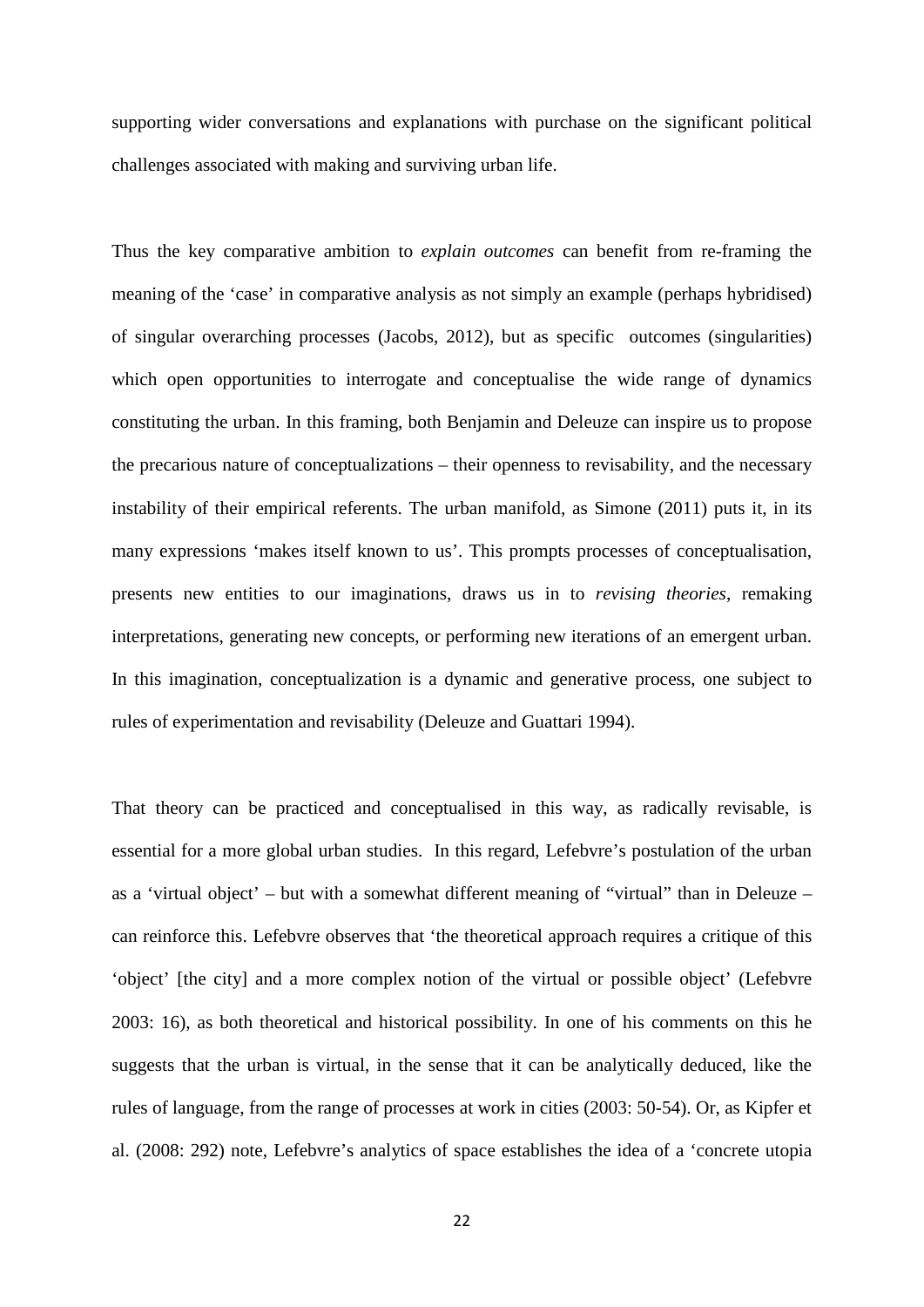supporting wider conversations and explanations with purchase on the significant political challenges associated with making and surviving urban life.

Thus the key comparative ambition to *explain outcomes* can benefit from re-framing the meaning of the 'case' in comparative analysis as not simply an example (perhaps hybridised) of singular overarching processes (Jacobs, 2012), but as specific outcomes (singularities) which open opportunities to interrogate and conceptualise the wide range of dynamics constituting the urban. In this framing, both Benjamin and Deleuze can inspire us to propose the precarious nature of conceptualizations – their openness to revisability, and the necessary instability of their empirical referents. The urban manifold, as Simone (2011) puts it, in its many expressions 'makes itself known to us'. This prompts processes of conceptualisation, presents new entities to our imaginations, draws us in to *revising theories*, remaking interpretations, generating new concepts, or performing new iterations of an emergent urban. In this imagination, conceptualization is a dynamic and generative process, one subject to rules of experimentation and revisability (Deleuze and Guattari 1994).

That theory can be practiced and conceptualised in this way, as radically revisable, is essential for a more global urban studies. In this regard, Lefebvre's postulation of the urban as a 'virtual object' – but with a somewhat different meaning of "virtual" than in Deleuze – can reinforce this. Lefebvre observes that 'the theoretical approach requires a critique of this 'object' [the city] and a more complex notion of the virtual or possible object' (Lefebvre 2003: 16), as both theoretical and historical possibility. In one of his comments on this he suggests that the urban is virtual, in the sense that it can be analytically deduced, like the rules of language, from the range of processes at work in cities (2003: 50-54). Or, as Kipfer et al. (2008: 292) note, Lefebvre's analytics of space establishes the idea of a 'concrete utopia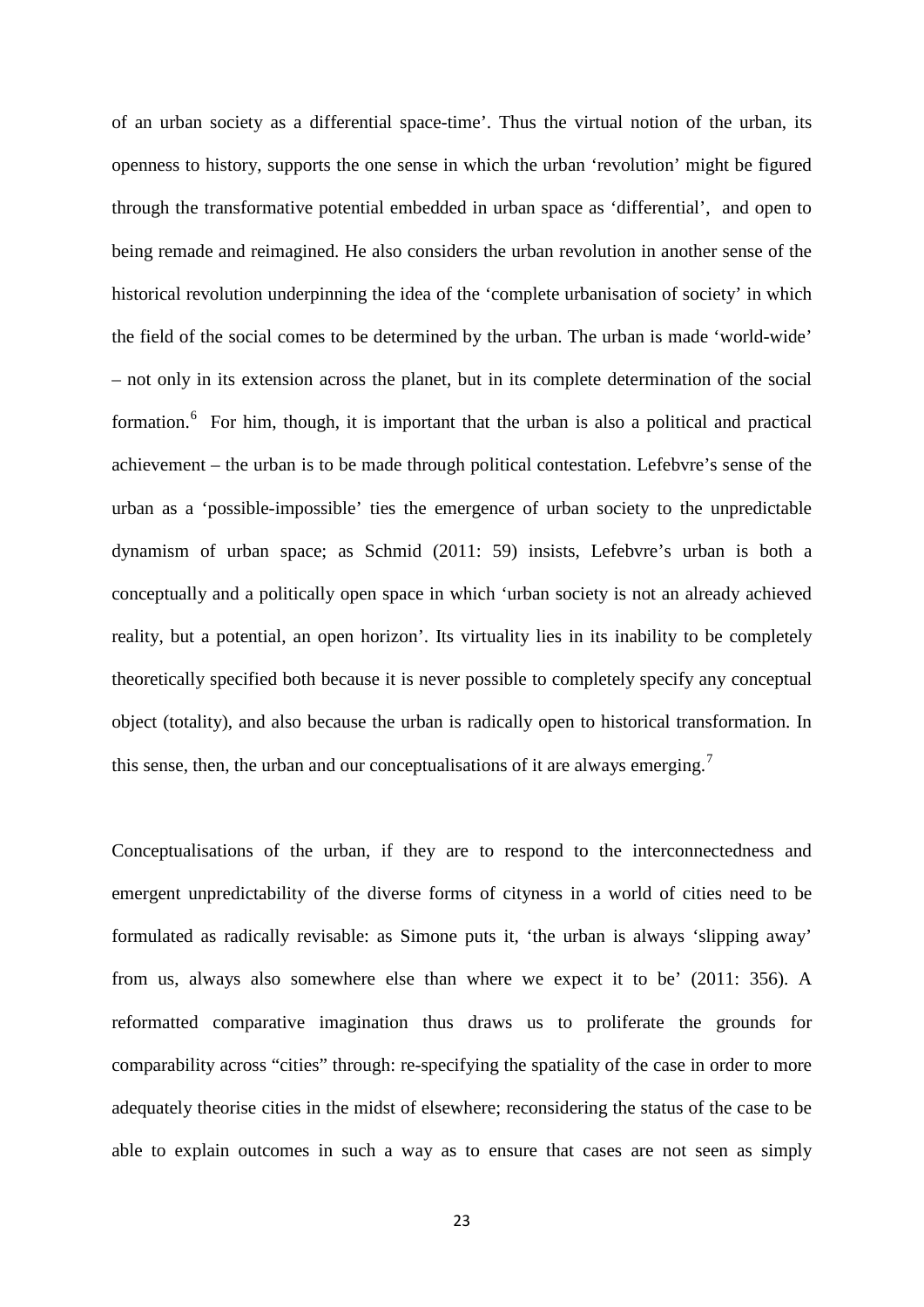of an urban society as a differential space-time'. Thus the virtual notion of the urban, its openness to history, supports the one sense in which the urban 'revolution' might be figured through the transformative potential embedded in urban space as 'differential', and open to being remade and reimagined. He also considers the urban revolution in another sense of the historical revolution underpinning the idea of the 'complete urbanisation of society' in which the field of the social comes to be determined by the urban. The urban is made 'world-wide' – not only in its extension across the planet, but in its complete determination of the social formation.<sup>[6](#page-32-5)</sup> For him, though, it is important that the urban is also a political and practical achievement – the urban is to be made through political contestation. Lefebvre's sense of the urban as a 'possible-impossible' ties the emergence of urban society to the unpredictable dynamism of urban space; as Schmid (2011: 59) insists, Lefebvre's urban is both a conceptually and a politically open space in which 'urban society is not an already achieved reality, but a potential, an open horizon'. Its virtuality lies in its inability to be completely theoretically specified both because it is never possible to completely specify any conceptual object (totality), and also because the urban is radically open to historical transformation. In this sense, then, the urban and our conceptualisations of it are always emerging.<sup>[7](#page-32-6)</sup>

Conceptualisations of the urban, if they are to respond to the interconnectedness and emergent unpredictability of the diverse forms of cityness in a world of cities need to be formulated as radically revisable: as Simone puts it, 'the urban is always 'slipping away' from us, always also somewhere else than where we expect it to be' (2011: 356). A reformatted comparative imagination thus draws us to proliferate the grounds for comparability across "cities" through: re-specifying the spatiality of the case in order to more adequately theorise cities in the midst of elsewhere; reconsidering the status of the case to be able to explain outcomes in such a way as to ensure that cases are not seen as simply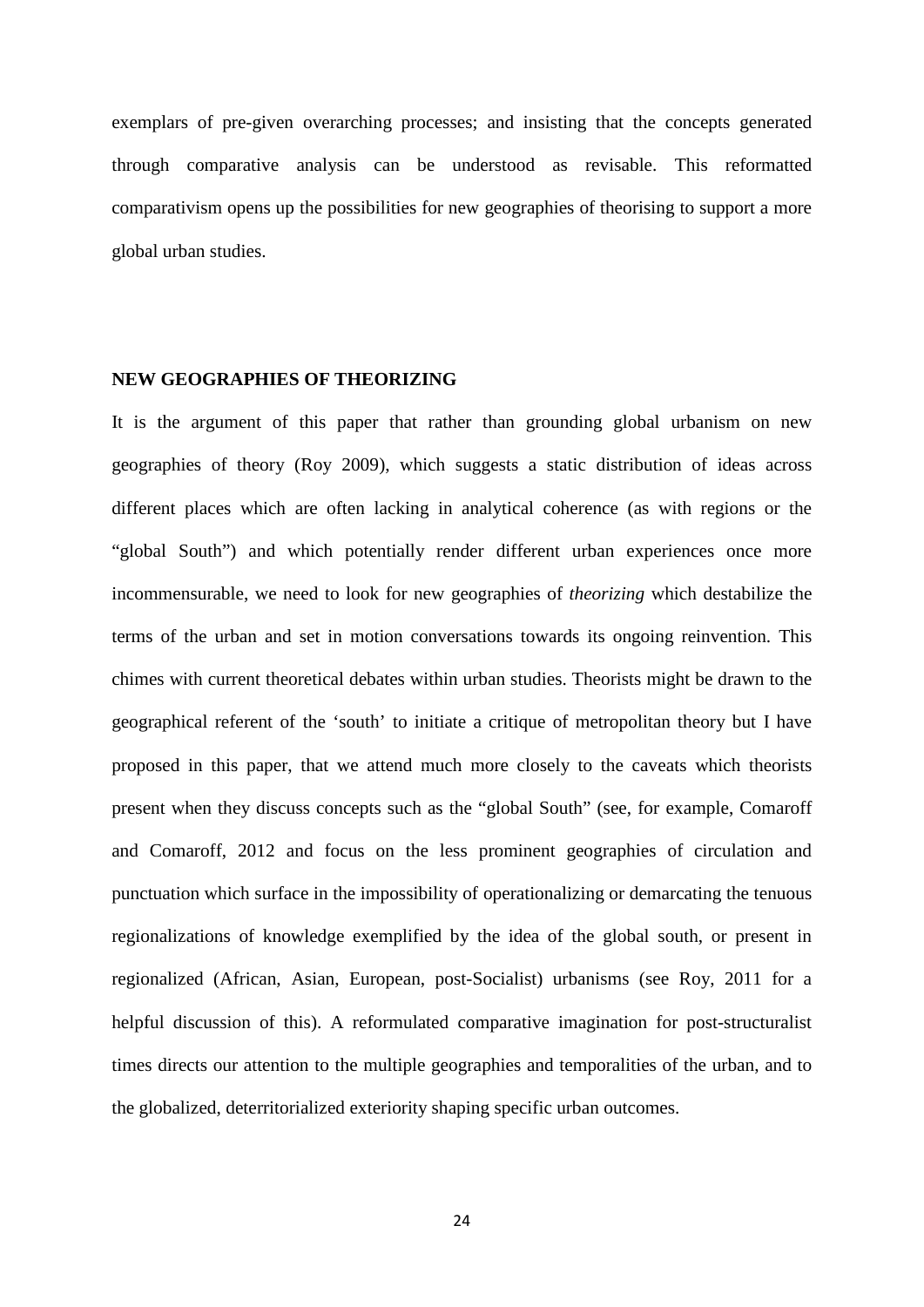exemplars of pre-given overarching processes; and insisting that the concepts generated through comparative analysis can be understood as revisable. This reformatted comparativism opens up the possibilities for new geographies of theorising to support a more global urban studies.

#### **NEW GEOGRAPHIES OF THEORIZING**

It is the argument of this paper that rather than grounding global urbanism on new geographies of theory (Roy 2009), which suggests a static distribution of ideas across different places which are often lacking in analytical coherence (as with regions or the "global South") and which potentially render different urban experiences once more incommensurable, we need to look for new geographies of *theorizing* which destabilize the terms of the urban and set in motion conversations towards its ongoing reinvention. This chimes with current theoretical debates within urban studies. Theorists might be drawn to the geographical referent of the 'south' to initiate a critique of metropolitan theory but I have proposed in this paper, that we attend much more closely to the caveats which theorists present when they discuss concepts such as the "global South" (see, for example, Comaroff and Comaroff, 2012 and focus on the less prominent geographies of circulation and punctuation which surface in the impossibility of operationalizing or demarcating the tenuous regionalizations of knowledge exemplified by the idea of the global south, or present in regionalized (African, Asian, European, post-Socialist) urbanisms (see Roy, 2011 for a helpful discussion of this). A reformulated comparative imagination for post-structuralist times directs our attention to the multiple geographies and temporalities of the urban, and to the globalized, deterritorialized exteriority shaping specific urban outcomes.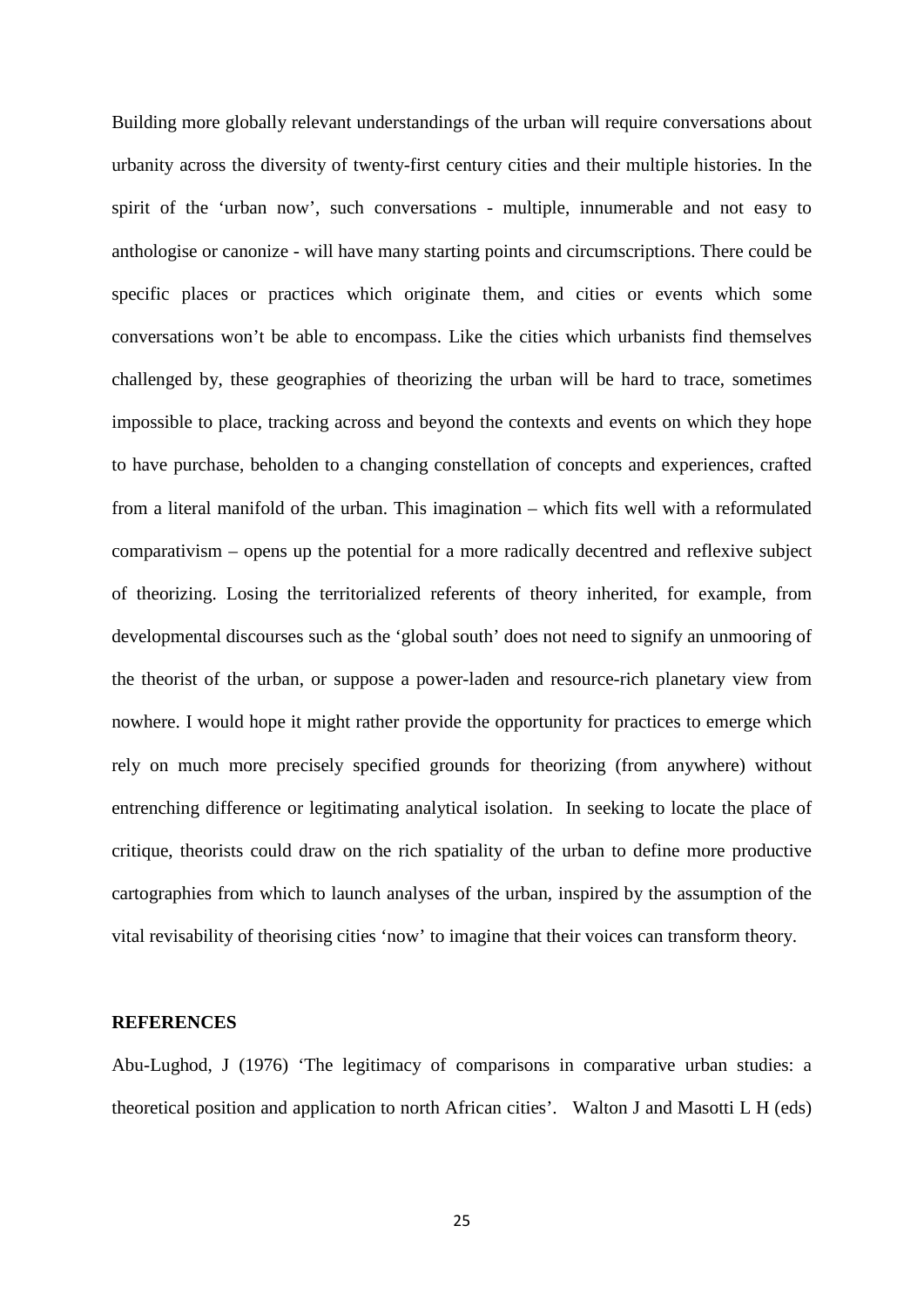Building more globally relevant understandings of the urban will require conversations about urbanity across the diversity of twenty-first century cities and their multiple histories. In the spirit of the 'urban now', such conversations - multiple, innumerable and not easy to anthologise or canonize - will have many starting points and circumscriptions. There could be specific places or practices which originate them, and cities or events which some conversations won't be able to encompass. Like the cities which urbanists find themselves challenged by, these geographies of theorizing the urban will be hard to trace, sometimes impossible to place, tracking across and beyond the contexts and events on which they hope to have purchase, beholden to a changing constellation of concepts and experiences, crafted from a literal manifold of the urban. This imagination – which fits well with a reformulated comparativism – opens up the potential for a more radically decentred and reflexive subject of theorizing. Losing the territorialized referents of theory inherited, for example, from developmental discourses such as the 'global south' does not need to signify an unmooring of the theorist of the urban, or suppose a power-laden and resource-rich planetary view from nowhere. I would hope it might rather provide the opportunity for practices to emerge which rely on much more precisely specified grounds for theorizing (from anywhere) without entrenching difference or legitimating analytical isolation. In seeking to locate the place of critique, theorists could draw on the rich spatiality of the urban to define more productive cartographies from which to launch analyses of the urban, inspired by the assumption of the vital revisability of theorising cities 'now' to imagine that their voices can transform theory.

## **REFERENCES**

Abu-Lughod, J (1976) 'The legitimacy of comparisons in comparative urban studies: a theoretical position and application to north African cities'. Walton J and Masotti L H (eds)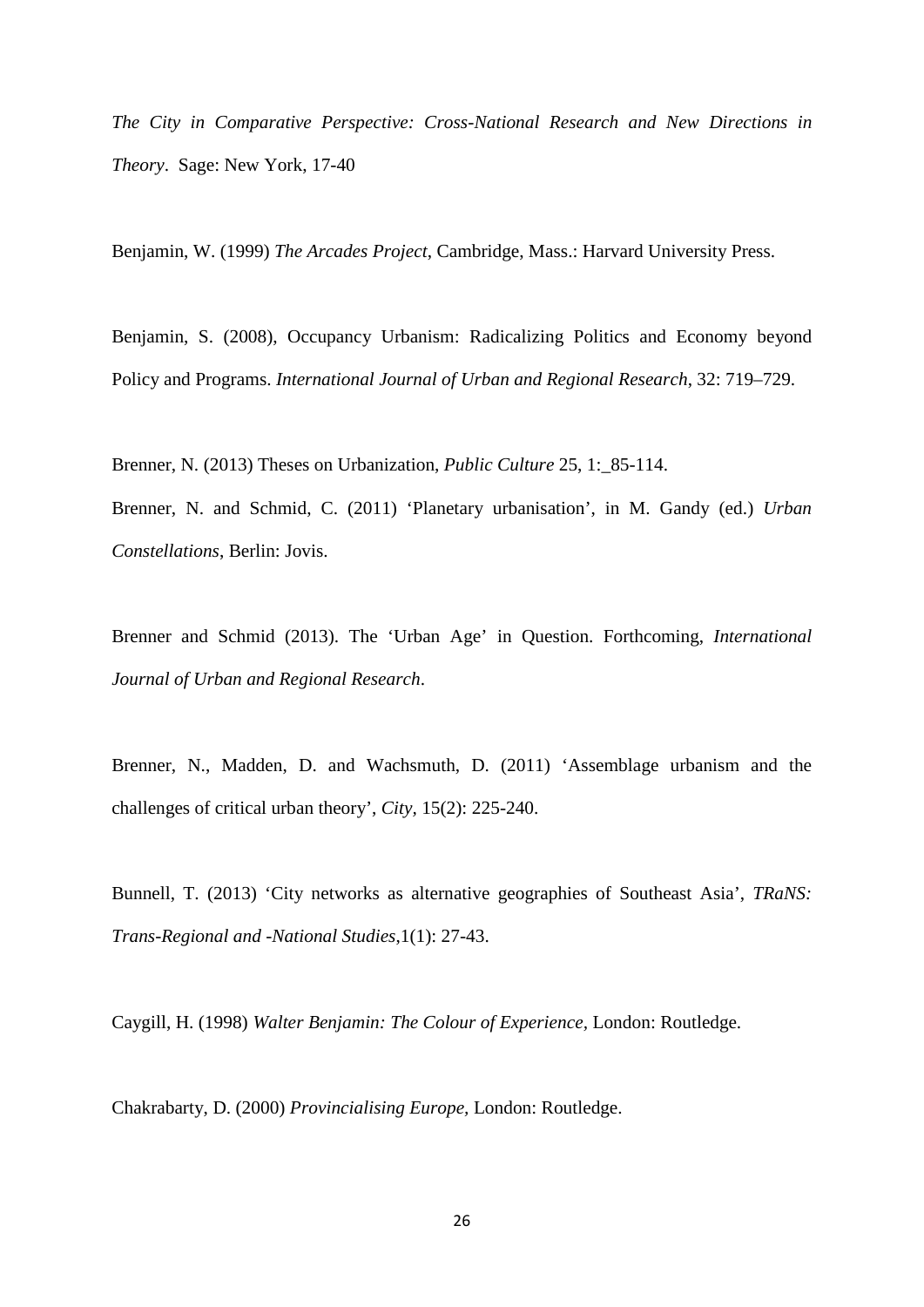*The City in Comparative Perspective: Cross-National Research and New Directions in Theory*. Sage: New York, 17-40

Benjamin, W. (1999) *The Arcades Project*, Cambridge, Mass.: Harvard University Press.

Benjamin, S. (2008), Occupancy Urbanism: Radicalizing Politics and Economy beyond Policy and Programs. *International Journal of Urban and Regional Research*, 32: 719–729.

Brenner, N. (2013) Theses on Urbanization, *Public Culture* 25, 1:\_85-114.

Brenner, N. and Schmid, C. (2011) 'Planetary urbanisation', in M. Gandy (ed.) *Urban Constellations*, Berlin: Jovis.

Brenner and Schmid (2013). The 'Urban Age' in Question. Forthcoming, *International Journal of Urban and Regional Research*.

Brenner, N., Madden, D. and Wachsmuth, D. (2011) 'Assemblage urbanism and the challenges of critical urban theory', *City,* 15(2): 225-240.

Bunnell, T. (2013) 'City networks as alternative geographies of Southeast Asia', *TRaNS: Trans-Regional and -National Studies*,1(1): 27-43.

Caygill, H. (1998) *Walter Benjamin: The Colour of Experience,* London: Routledge.

Chakrabarty, D. (2000) *Provincialising Europe,* London: Routledge.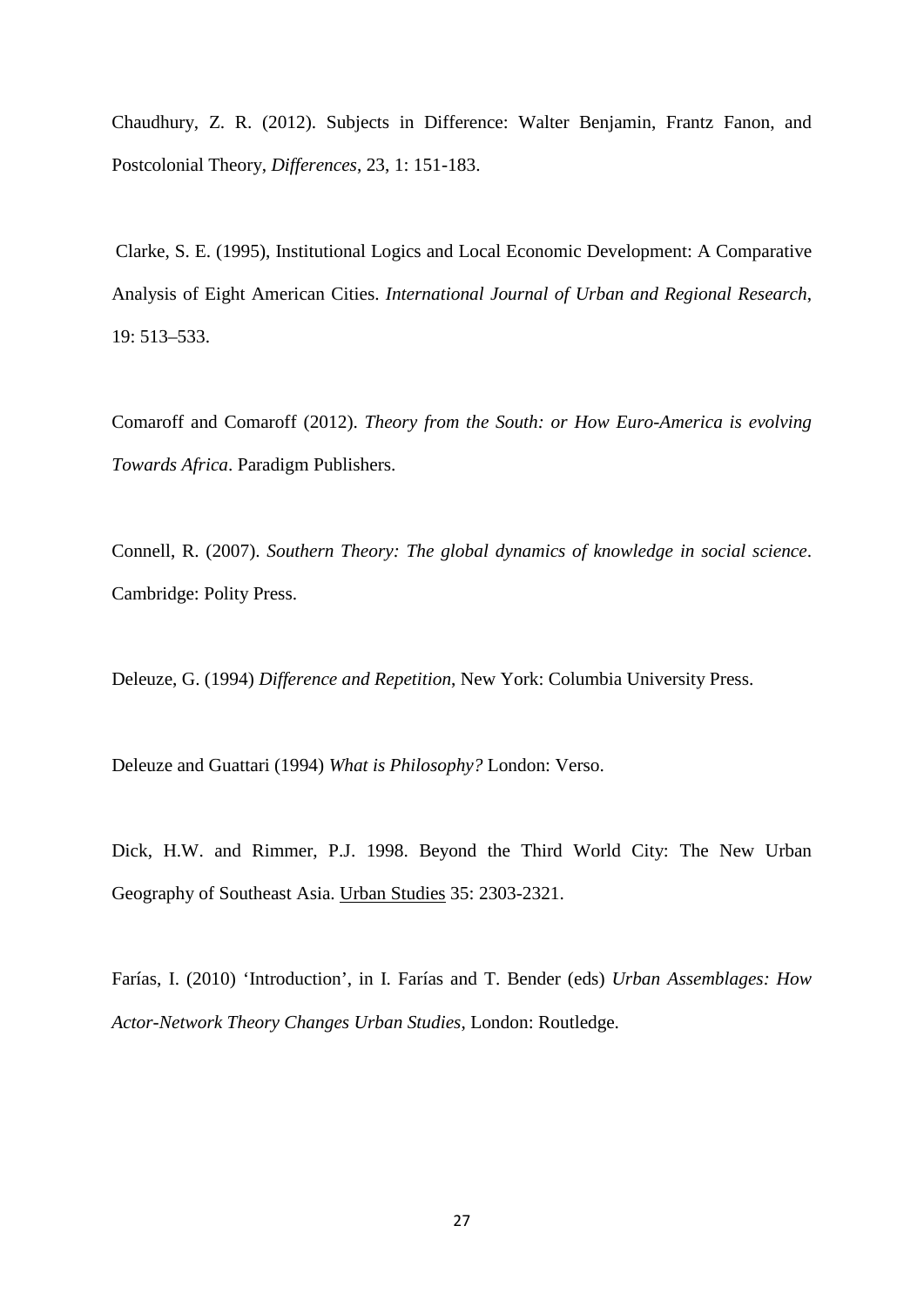Chaudhury, Z. R. (2012). Subjects in Difference: Walter Benjamin, Frantz Fanon, and Postcolonial Theory, *Differences*, 23, 1: 151-183.

Clarke, S. E. (1995), Institutional Logics and Local Economic Development: A Comparative Analysis of Eight American Cities. *International Journal of Urban and Regional Research*, 19: 513–533.

Comaroff and Comaroff (2012). *Theory from the South: or How Euro-America is evolving Towards Africa*. Paradigm Publishers.

Connell, R. (2007). *Southern Theory: The global dynamics of knowledge in social science*. Cambridge: Polity Press.

Deleuze, G. (1994) *Difference and Repetition*, New York: Columbia University Press.

Deleuze and Guattari (1994) *What is Philosophy?* London: Verso.

Dick, H.W. and Rimmer, P.J. 1998. Beyond the Third World City: The New Urban Geography of Southeast Asia. Urban Studies 35: 2303-2321.

Farías, I. (2010) 'Introduction', in I. Farías and T. Bender (eds) *Urban Assemblages: How Actor-Network Theory Changes Urban Studies*, London: Routledge.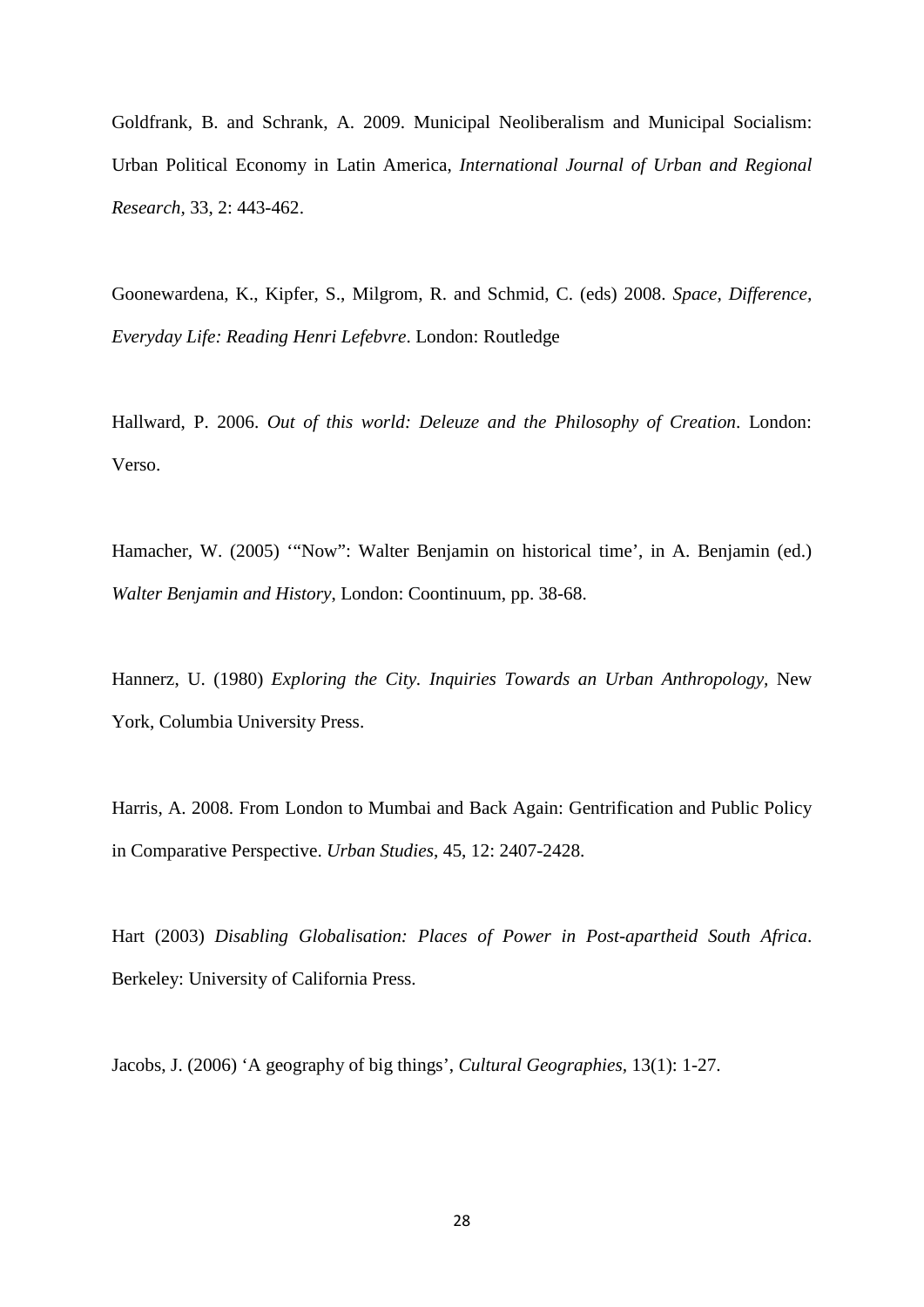Goldfrank, B. and Schrank, A. 2009. Municipal Neoliberalism and Municipal Socialism: Urban Political Economy in Latin America, *International Journal of Urban and Regional Research,* 33, 2: 443-462.

Goonewardena, K., Kipfer, S., Milgrom, R. and Schmid, C. (eds) 2008. *Space, Difference, Everyday Life: Reading Henri Lefebvre*. London: Routledge

Hallward, P. 2006. *Out of this world: Deleuze and the Philosophy of Creation*. London: Verso.

Hamacher, W. (2005) '"Now": Walter Benjamin on historical time', in A. Benjamin (ed.) *Walter Benjamin and History*, London: Coontinuum, pp. 38-68.

Hannerz, U. (1980) *Exploring the City. Inquiries Towards an Urban Anthropology,* New York, Columbia University Press.

Harris, A. 2008. From London to Mumbai and Back Again: Gentrification and Public Policy in Comparative Perspective. *Urban Studies*, 45, 12: 2407-2428.

Hart (2003) *Disabling Globalisation: Places of Power in Post-apartheid South Africa*. Berkeley: University of California Press.

Jacobs, J. (2006) 'A geography of big things', *Cultural Geographies,* 13(1): 1-27.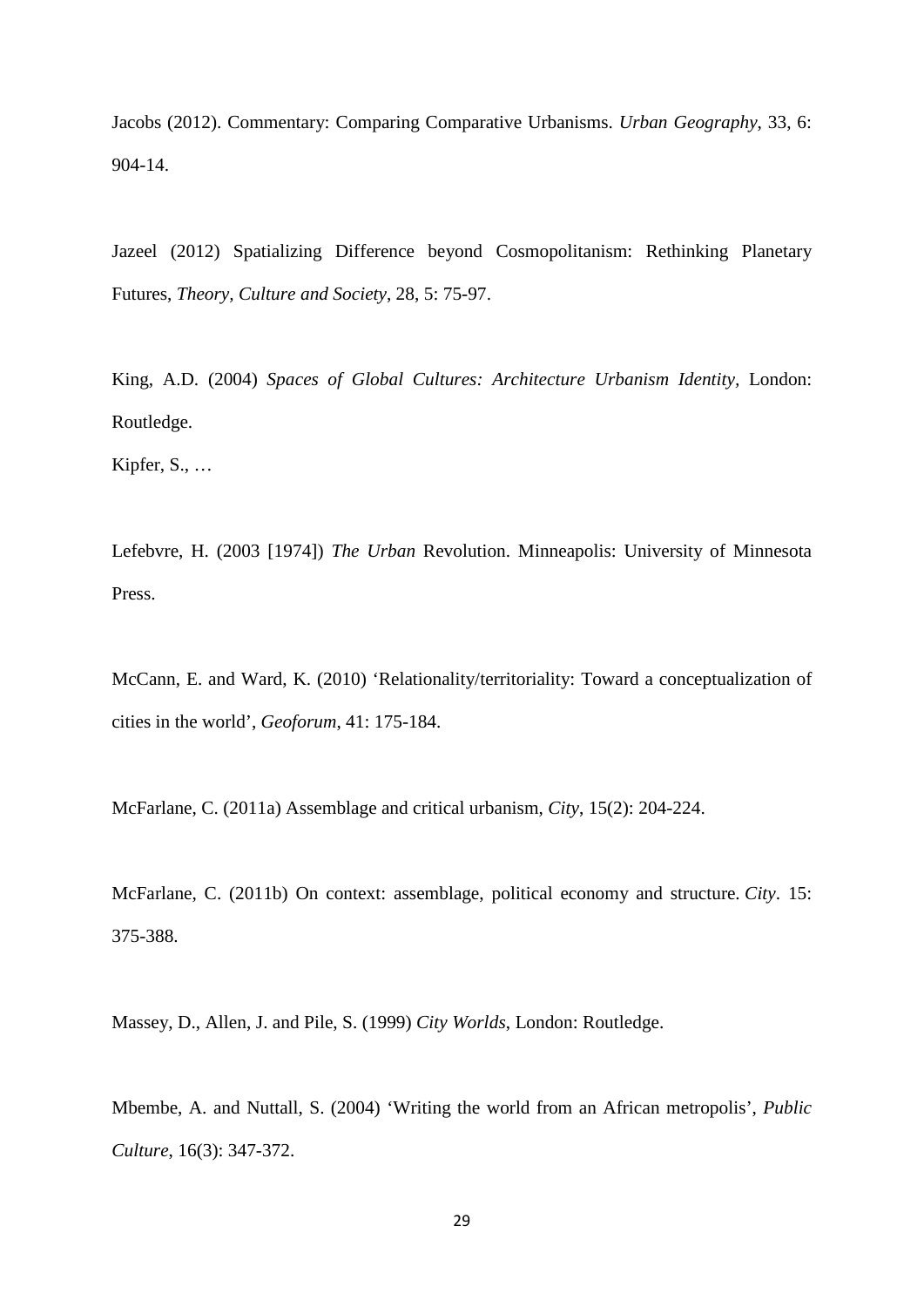Jacobs (2012). Commentary: Comparing Comparative Urbanisms. *Urban Geography*, 33, 6: 904-14.

Jazeel (2012) Spatializing Difference beyond Cosmopolitanism: Rethinking Planetary Futures, *Theory, Culture and Society*, 28, 5: 75-97.

King, A.D. (2004) *Spaces of Global Cultures: Architecture Urbanism Identity,* London: Routledge.

Kipfer, S., …

Lefebvre, H. (2003 [1974]) *The Urban* Revolution. Minneapolis: University of Minnesota Press.

McCann, E. and Ward, K. (2010) 'Relationality/territoriality: Toward a conceptualization of cities in the world', *Geoforum*, 41: 175-184.

McFarlane, C. (2011a) Assemblage and critical urbanism, *City*, 15(2): 204-224.

McFarlane, C. (2011b) On context: assemblage, political economy and structure. *City*. 15: 375-388.

Massey, D., Allen, J. and Pile, S. (1999) *City Worlds*, London: Routledge.

Mbembe, A. and Nuttall, S. (2004) 'Writing the world from an African metropolis', *Public Culture*, 16(3): 347-372.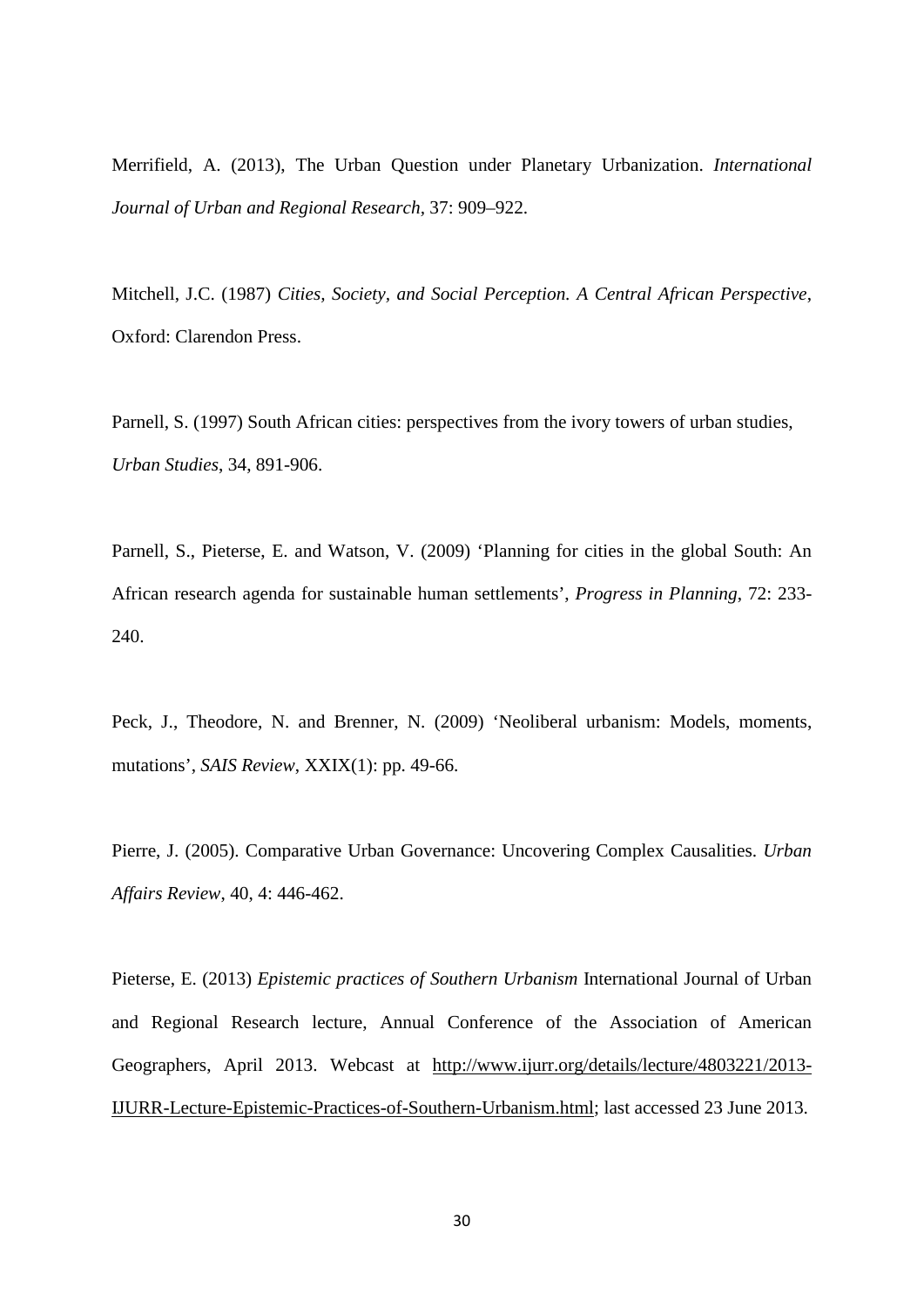Merrifield, A. (2013), The Urban Question under Planetary Urbanization. *International Journal of Urban and Regional Research,* 37: 909–922.

Mitchell, J.C. (1987) *Cities, Society, and Social Perception. A Central African Perspective*, Oxford: Clarendon Press.

Parnell, S. (1997) South African cities: perspectives from the ivory towers of urban studies, *Urban Studies*, 34, 891-906.

Parnell, S., Pieterse, E. and Watson, V. (2009) 'Planning for cities in the global South: An African research agenda for sustainable human settlements', *Progress in Planning*, 72: 233- 240.

Peck, J., Theodore, N. and Brenner, N. (2009) 'Neoliberal urbanism: Models, moments, mutations', *SAIS Review*, XXIX(1): pp. 49-66.

Pierre, J. (2005). Comparative Urban Governance: Uncovering Complex Causalities. *Urban Affairs Review*, 40, 4: 446-462.

Pieterse, E. (2013) *Epistemic practices of Southern Urbanism* International Journal of Urban and Regional Research lecture, Annual Conference of the Association of American Geographers, April 2013. Webcast at [http://www.ijurr.org/details/lecture/4803221/2013-](http://www.ijurr.org/details/lecture/4803221/2013-IJURR-Lecture-Epistemic-Practices-of-Southern-Urbanism.html) [IJURR-Lecture-Epistemic-Practices-of-Southern-Urbanism.html;](http://www.ijurr.org/details/lecture/4803221/2013-IJURR-Lecture-Epistemic-Practices-of-Southern-Urbanism.html) last accessed 23 June 2013.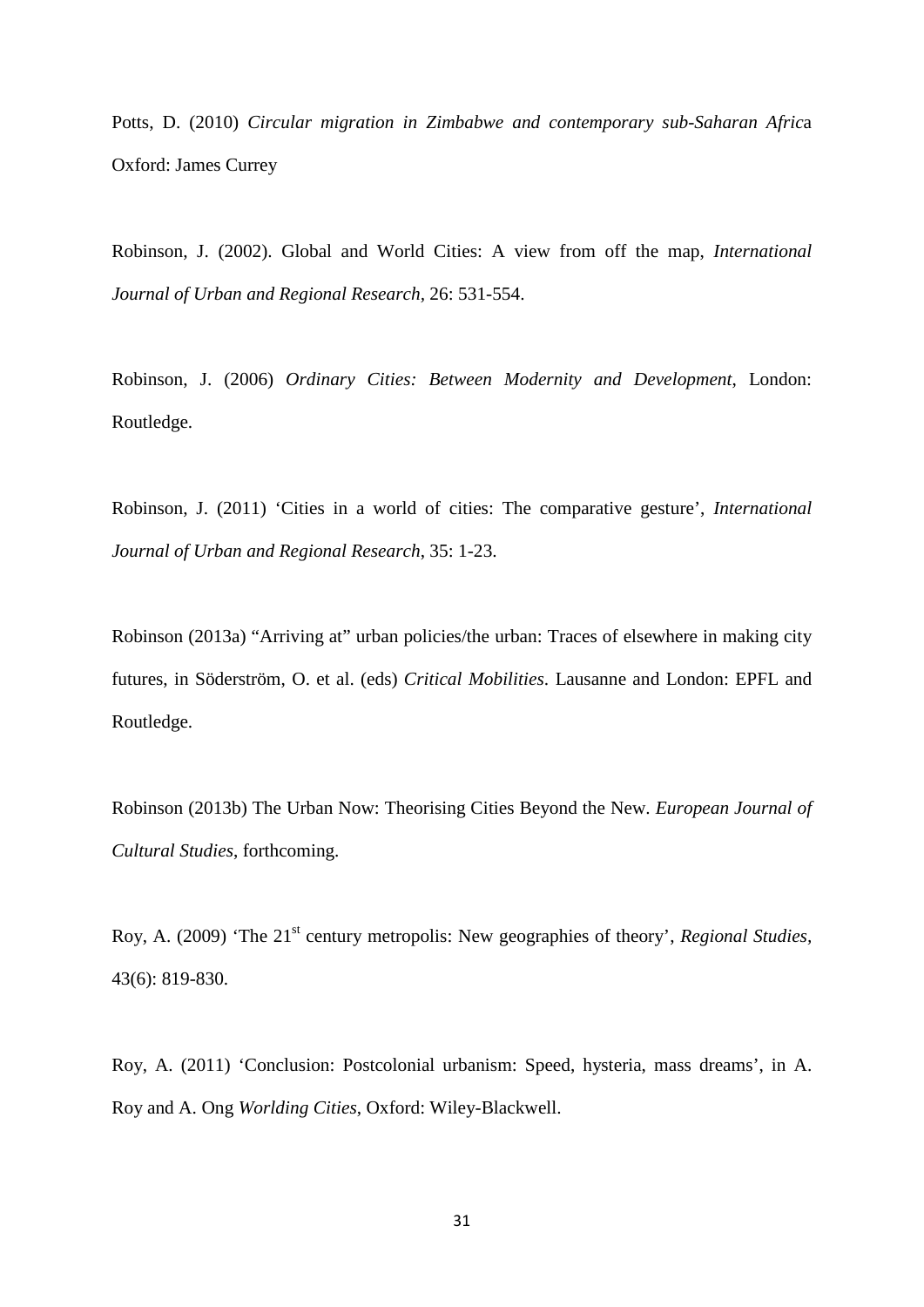Potts, D. (2010) *Circular migration in Zimbabwe and contemporary sub-Saharan Afric*a Oxford: James Currey

Robinson, J. (2002). Global and World Cities: A view from off the map, *International Journal of Urban and Regional Research,* 26: 531-554.

Robinson, J. (2006) *Ordinary Cities: Between Modernity and Development*, London: Routledge.

Robinson, J. (2011) 'Cities in a world of cities: The comparative gesture', *International Journal of Urban and Regional Research*, 35: 1-23.

Robinson (2013a) "Arriving at" urban policies/the urban: Traces of elsewhere in making city futures, in Söderström, O. et al. (eds) *Critical Mobilities*. Lausanne and London: EPFL and Routledge.

Robinson (2013b) The Urban Now: Theorising Cities Beyond the New. *European Journal of Cultural Studies*, forthcoming.

Roy, A. (2009) 'The 21st century metropolis: New geographies of theory', *Regional Studies,* 43(6): 819-830.

Roy, A. (2011) 'Conclusion: Postcolonial urbanism: Speed, hysteria, mass dreams', in A. Roy and A. Ong *Worlding Cities*, Oxford: Wiley-Blackwell.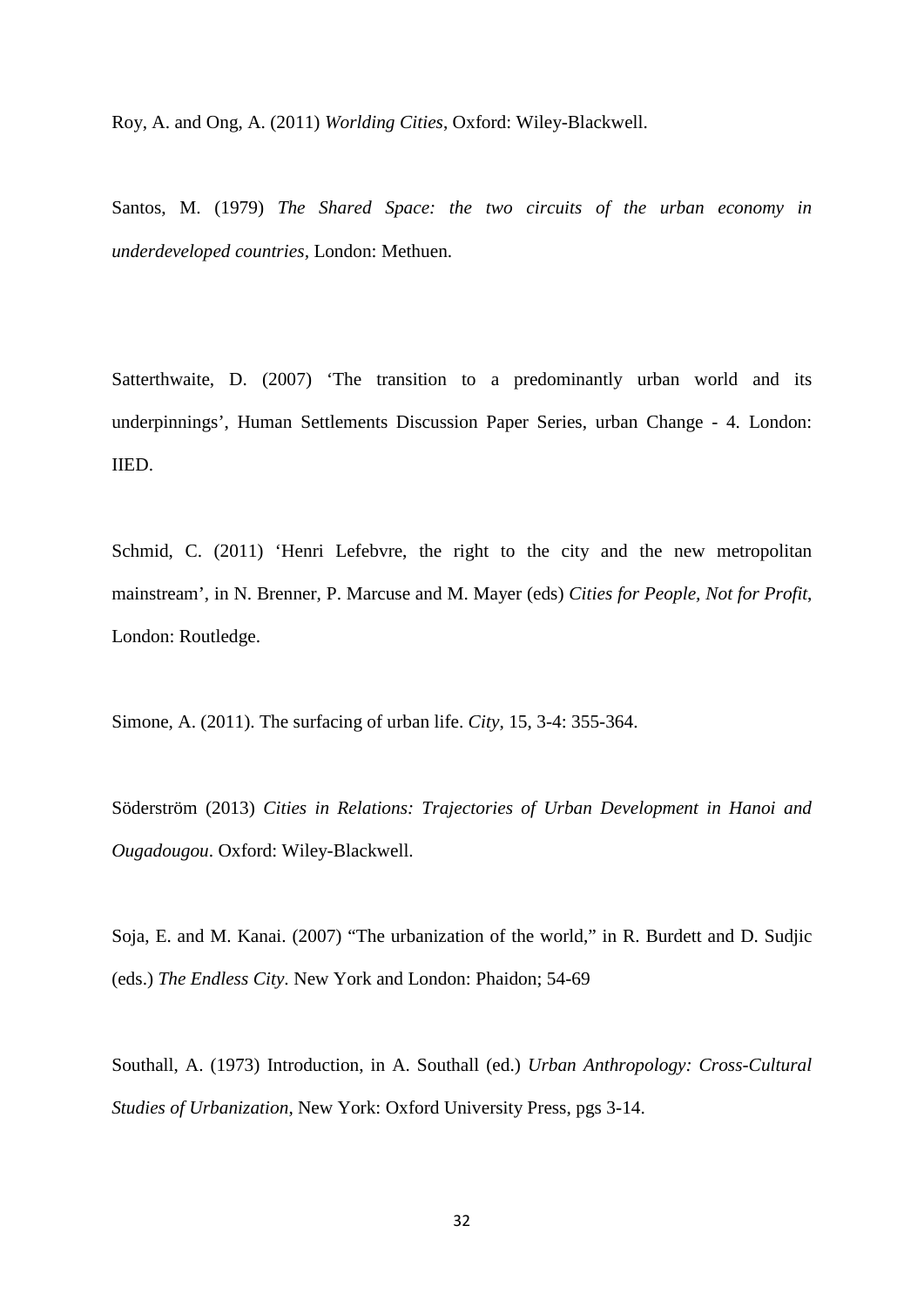Roy, A. and Ong, A. (2011) *Worlding Cities*, Oxford: Wiley-Blackwell.

Santos, M. (1979) *The Shared Space: the two circuits of the urban economy in underdeveloped countries,* London: Methuen.

Satterthwaite, D. (2007) 'The transition to a predominantly urban world and its underpinnings', Human Settlements Discussion Paper Series, urban Change - 4. London: IIED.

Schmid, C. (2011) 'Henri Lefebvre, the right to the city and the new metropolitan mainstream', in N. Brenner, P. Marcuse and M. Mayer (eds) *Cities for People, Not for Profit*, London: Routledge.

Simone, A. (2011). The surfacing of urban life. *City*, 15, 3-4: 355-364.

Söderström (2013) *Cities in Relations: Trajectories of Urban Development in Hanoi and Ougadougou*. Oxford: Wiley-Blackwell.

Soja, E. and M. Kanai. (2007) "The urbanization of the world," in R. Burdett and D. Sudjic (eds.) *The Endless City*. New York and London: Phaidon; 54-69

Southall, A. (1973) Introduction, in A. Southall (ed.) *Urban Anthropology: Cross-Cultural Studies of Urbanization*, New York: Oxford University Press, pgs 3-14.